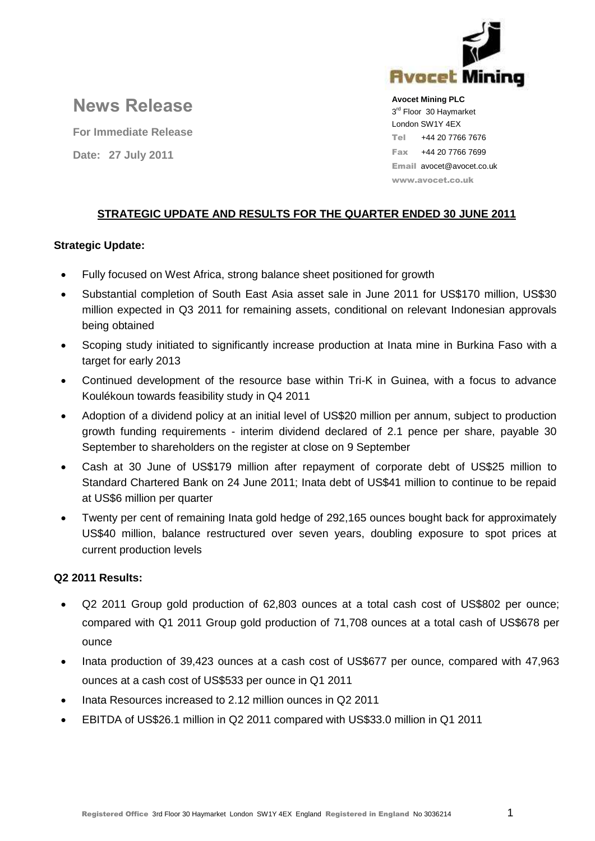

**News Release**

**For Immediate Release Date: 27 July 2011** 

**Avocet Mining PLC** 3<sup>rd</sup> Floor 30 Haymarket London SW1Y 4EX Tel +44 20 7766 7676 Fax +44 20 7766 7699 Email avocet@avocet.co.uk www.avocet.co.uk

# **STRATEGIC UPDATE AND RESULTS FOR THE QUARTER ENDED 30 JUNE 2011**

# **Strategic Update:**

- Fully focused on West Africa, strong balance sheet positioned for growth
- Substantial completion of South East Asia asset sale in June 2011 for US\$170 million, US\$30 million expected in Q3 2011 for remaining assets, conditional on relevant Indonesian approvals being obtained
- Scoping study initiated to significantly increase production at Inata mine in Burkina Faso with a target for early 2013
- Continued development of the resource base within Tri-K in Guinea, with a focus to advance Koulékoun towards feasibility study in Q4 2011
- Adoption of a dividend policy at an initial level of US\$20 million per annum, subject to production growth funding requirements - interim dividend declared of 2.1 pence per share, payable 30 September to shareholders on the register at close on 9 September
- Cash at 30 June of US\$179 million after repayment of corporate debt of US\$25 million to Standard Chartered Bank on 24 June 2011; Inata debt of US\$41 million to continue to be repaid at US\$6 million per quarter
- Twenty per cent of remaining Inata gold hedge of 292,165 ounces bought back for approximately US\$40 million, balance restructured over seven years, doubling exposure to spot prices at current production levels

# **Q2 2011 Results:**

- Q2 2011 Group gold production of 62,803 ounces at a total cash cost of US\$802 per ounce; compared with Q1 2011 Group gold production of 71,708 ounces at a total cash of US\$678 per ounce
- Inata production of 39,423 ounces at a cash cost of US\$677 per ounce, compared with 47,963 ounces at a cash cost of US\$533 per ounce in Q1 2011
- Inata Resources increased to 2.12 million ounces in Q2 2011
- EBITDA of US\$26.1 million in Q2 2011 compared with US\$33.0 million in Q1 2011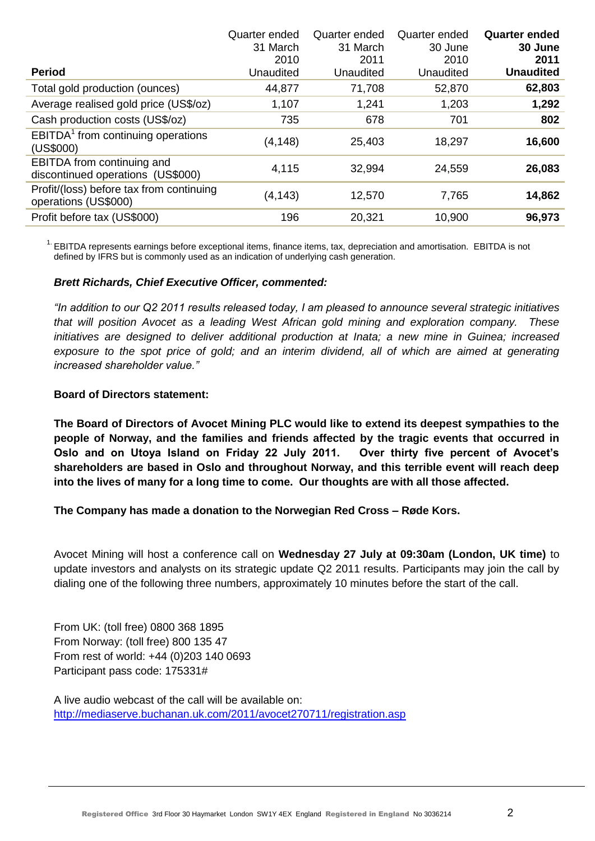|                                                                        | Quarter ended | Quarter ended | Quarter ended | <b>Quarter ended</b> |
|------------------------------------------------------------------------|---------------|---------------|---------------|----------------------|
|                                                                        | 31 March      | 31 March      | 30 June       | 30 June              |
|                                                                        | 2010          | 2011          | 2010          | 2011                 |
| <b>Period</b>                                                          | Unaudited     | Unaudited     | Unaudited     | <b>Unaudited</b>     |
| Total gold production (ounces)                                         | 44,877        | 71,708        | 52,870        | 62,803               |
| Average realised gold price (US\$/oz)                                  | 1,107         | 1,241         | 1,203         | 1,292                |
| Cash production costs (US\$/oz)                                        | 735           | 678           | 701           | 802                  |
| EBITDA <sup>1</sup> from continuing operations<br>(US\$000)            | (4, 148)      | 25,403        | 18,297        | 16,600               |
| <b>EBITDA</b> from continuing and<br>discontinued operations (US\$000) | 4,115         | 32,994        | 24,559        | 26,083               |
| Profit/(loss) before tax from continuing<br>operations (US\$000)       | (4, 143)      | 12,570        | 7,765         | 14,862               |
| Profit before tax (US\$000)                                            | 196           | 20,321        | 10,900        | 96,973               |
|                                                                        |               |               |               |                      |

<sup>1.</sup> EBITDA represents earnings before exceptional items, finance items, tax, depreciation and amortisation. EBITDA is not defined by IFRS but is commonly used as an indication of underlying cash generation.

### *Brett Richards, Chief Executive Officer, commented:*

*"In addition to our Q2 2011 results released today, I am pleased to announce several strategic initiatives that will position Avocet as a leading West African gold mining and exploration company. These initiatives are designed to deliver additional production at Inata; a new mine in Guinea; increased*  exposure to the spot price of gold; and an interim dividend, all of which are aimed at generating *increased shareholder value."*

### **Board of Directors statement:**

**The Board of Directors of Avocet Mining PLC would like to extend its deepest sympathies to the people of Norway, and the families and friends affected by the tragic events that occurred in Oslo and on Utoya Island on Friday 22 July 2011. Over thirty five percent of Avocet's shareholders are based in Oslo and throughout Norway, and this terrible event will reach deep into the lives of many for a long time to come. Our thoughts are with all those affected.**

# **The Company has made a donation to the Norwegian Red Cross – Røde Kors.**

Avocet Mining will host a conference call on **Wednesday 27 July at 09:30am (London, UK time)** to update investors and analysts on its strategic update Q2 2011 results. Participants may join the call by dialing one of the following three numbers, approximately 10 minutes before the start of the call.

From UK: (toll free) 0800 368 1895 From Norway: (toll free) 800 135 47 From rest of world: +44 (0)203 140 0693 Participant pass code: 175331#

A live audio webcast of the call will be available on: <http://mediaserve.buchanan.uk.com/2011/avocet270711/registration.asp>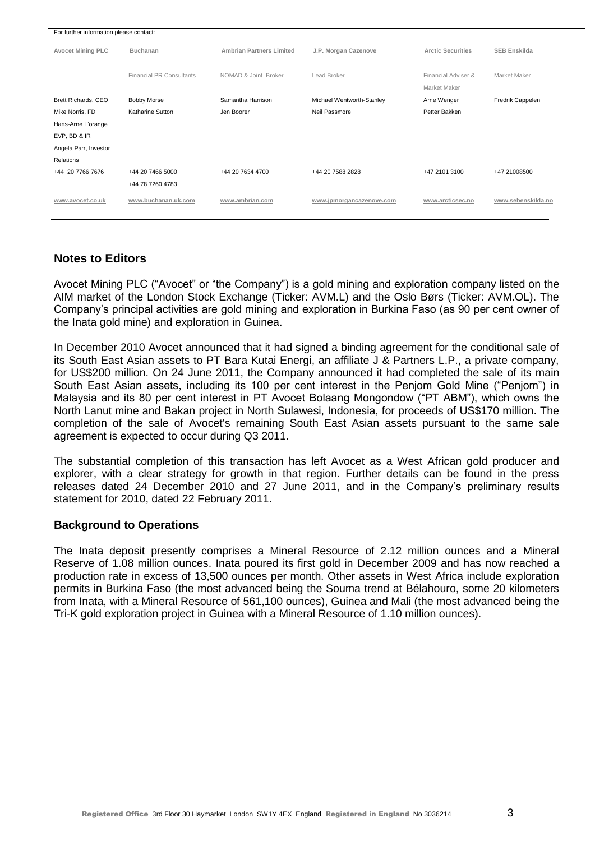| For further information please contact: |                                 |                                 |                           |                          |                     |
|-----------------------------------------|---------------------------------|---------------------------------|---------------------------|--------------------------|---------------------|
| <b>Avocet Mining PLC</b>                | <b>Buchanan</b>                 | <b>Ambrian Partners Limited</b> | J.P. Morgan Cazenove      | <b>Arctic Securities</b> | <b>SEB Enskilda</b> |
|                                         | <b>Financial PR Consultants</b> | NOMAD & Joint Broker            | Lead Broker               | Financial Adviser &      | Market Maker        |
|                                         |                                 |                                 |                           | Market Maker             |                     |
| Brett Richards, CEO                     | <b>Bobby Morse</b>              | Samantha Harrison               | Michael Wentworth-Stanley | Arne Wenger              | Fredrik Cappelen    |
| Mike Norris, FD                         | Katharine Sutton                | Jen Boorer                      | Neil Passmore             | Petter Bakken            |                     |
| Hans-Arne L'orange                      |                                 |                                 |                           |                          |                     |
| EVP, BD & IR                            |                                 |                                 |                           |                          |                     |
| Angela Parr, Investor                   |                                 |                                 |                           |                          |                     |
| Relations                               |                                 |                                 |                           |                          |                     |
| +44 20 7766 7676                        | +44 20 7466 5000                | +44 20 7634 4700                | +44 20 7588 2828          | +47 2101 3100            | +47 21008500        |
|                                         | +44 78 7260 4783                |                                 |                           |                          |                     |
| www.avocet.co.uk                        | www.buchanan.uk.com             | www.ambrian.com                 | www.jpmorgancazenove.com  | www.arcticsec.no         | www.sebenskilda.no  |

# **Notes to Editors**

Avocet Mining PLC ("Avocet" or "the Company") is a gold mining and exploration company listed on the AIM market of the London Stock Exchange (Ticker: AVM.L) and the Oslo Børs (Ticker: AVM.OL). The Company"s principal activities are gold mining and exploration in Burkina Faso (as 90 per cent owner of the Inata gold mine) and exploration in Guinea.

In December 2010 Avocet announced that it had signed a binding agreement for the conditional sale of its South East Asian assets to PT Bara Kutai Energi, an affiliate J & Partners L.P., a private company, for US\$200 million. On 24 June 2011, the Company announced it had completed the sale of its main South East Asian assets, including its 100 per cent interest in the Penjom Gold Mine ("Penjom") in Malaysia and its 80 per cent interest in PT Avocet Bolaang Mongondow ("PT ABM"), which owns the North Lanut mine and Bakan project in North Sulawesi, Indonesia, for proceeds of US\$170 million. The completion of the sale of Avocet's remaining South East Asian assets pursuant to the same sale agreement is expected to occur during Q3 2011.

The substantial completion of this transaction has left Avocet as a West African gold producer and explorer, with a clear strategy for growth in that region. Further details can be found in the press releases dated 24 December 2010 and 27 June 2011, and in the Company"s preliminary results statement for 2010, dated 22 February 2011.

# **Background to Operations**

The Inata deposit presently comprises a Mineral Resource of 2.12 million ounces and a Mineral Reserve of 1.08 million ounces. Inata poured its first gold in December 2009 and has now reached a production rate in excess of 13,500 ounces per month. Other assets in West Africa include exploration permits in Burkina Faso (the most advanced being the Souma trend at Bélahouro, some 20 kilometers from Inata, with a Mineral Resource of 561,100 ounces), Guinea and Mali (the most advanced being the Tri-K gold exploration project in Guinea with a Mineral Resource of 1.10 million ounces).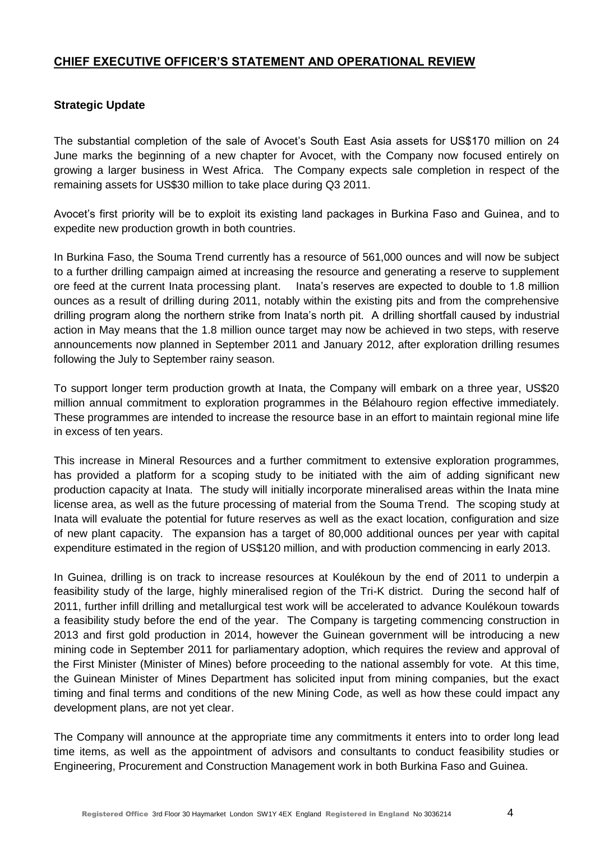# **CHIEF EXECUTIVE OFFICER'S STATEMENT AND OPERATIONAL REVIEW**

# **Strategic Update**

The substantial completion of the sale of Avocet's South East Asia assets for US\$170 million on 24 June marks the beginning of a new chapter for Avocet, with the Company now focused entirely on growing a larger business in West Africa. The Company expects sale completion in respect of the remaining assets for US\$30 million to take place during Q3 2011.

Avocet"s first priority will be to exploit its existing land packages in Burkina Faso and Guinea, and to expedite new production growth in both countries.

In Burkina Faso, the Souma Trend currently has a resource of 561,000 ounces and will now be subject to a further drilling campaign aimed at increasing the resource and generating a reserve to supplement ore feed at the current Inata processing plant. Inata"s reserves are expected to double to 1.8 million ounces as a result of drilling during 2011, notably within the existing pits and from the comprehensive drilling program along the northern strike from Inata"s north pit. A drilling shortfall caused by industrial action in May means that the 1.8 million ounce target may now be achieved in two steps, with reserve announcements now planned in September 2011 and January 2012, after exploration drilling resumes following the July to September rainy season.

To support longer term production growth at Inata, the Company will embark on a three year, US\$20 million annual commitment to exploration programmes in the Bélahouro region effective immediately. These programmes are intended to increase the resource base in an effort to maintain regional mine life in excess of ten years.

This increase in Mineral Resources and a further commitment to extensive exploration programmes, has provided a platform for a scoping study to be initiated with the aim of adding significant new production capacity at Inata. The study will initially incorporate mineralised areas within the Inata mine license area, as well as the future processing of material from the Souma Trend. The scoping study at Inata will evaluate the potential for future reserves as well as the exact location, configuration and size of new plant capacity. The expansion has a target of 80,000 additional ounces per year with capital expenditure estimated in the region of US\$120 million, and with production commencing in early 2013.

In Guinea, drilling is on track to increase resources at Koulékoun by the end of 2011 to underpin a feasibility study of the large, highly mineralised region of the Tri-K district. During the second half of 2011, further infill drilling and metallurgical test work will be accelerated to advance Koulékoun towards a feasibility study before the end of the year. The Company is targeting commencing construction in 2013 and first gold production in 2014, however the Guinean government will be introducing a new mining code in September 2011 for parliamentary adoption, which requires the review and approval of the First Minister (Minister of Mines) before proceeding to the national assembly for vote. At this time, the Guinean Minister of Mines Department has solicited input from mining companies, but the exact timing and final terms and conditions of the new Mining Code, as well as how these could impact any development plans, are not yet clear.

The Company will announce at the appropriate time any commitments it enters into to order long lead time items, as well as the appointment of advisors and consultants to conduct feasibility studies or Engineering, Procurement and Construction Management work in both Burkina Faso and Guinea.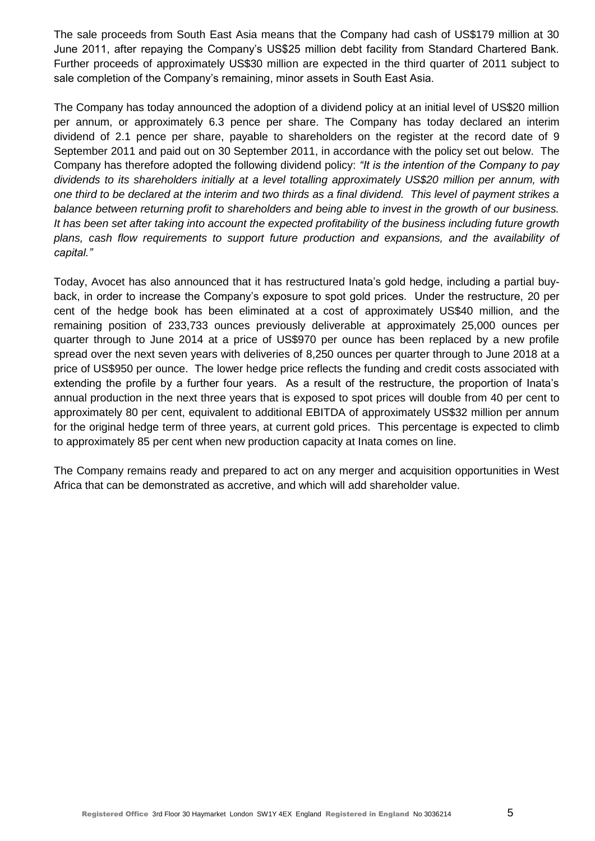The sale proceeds from South East Asia means that the Company had cash of US\$179 million at 30 June 2011, after repaying the Company"s US\$25 million debt facility from Standard Chartered Bank. Further proceeds of approximately US\$30 million are expected in the third quarter of 2011 subject to sale completion of the Company"s remaining, minor assets in South East Asia.

The Company has today announced the adoption of a dividend policy at an initial level of US\$20 million per annum, or approximately 6.3 pence per share. The Company has today declared an interim dividend of 2.1 pence per share, payable to shareholders on the register at the record date of 9 September 2011 and paid out on 30 September 2011, in accordance with the policy set out below. The Company has therefore adopted the following dividend policy: *"It is the intention of the Company to pay dividends to its shareholders initially at a level totalling approximately US\$20 million per annum, with one third to be declared at the interim and two thirds as a final dividend. This level of payment strikes a balance between returning profit to shareholders and being able to invest in the growth of our business. It has been set after taking into account the expected profitability of the business including future growth plans, cash flow requirements to support future production and expansions, and the availability of capital."*

Today, Avocet has also announced that it has restructured Inata"s gold hedge, including a partial buyback, in order to increase the Company"s exposure to spot gold prices. Under the restructure, 20 per cent of the hedge book has been eliminated at a cost of approximately US\$40 million, and the remaining position of 233,733 ounces previously deliverable at approximately 25,000 ounces per quarter through to June 2014 at a price of US\$970 per ounce has been replaced by a new profile spread over the next seven years with deliveries of 8,250 ounces per quarter through to June 2018 at a price of US\$950 per ounce. The lower hedge price reflects the funding and credit costs associated with extending the profile by a further four years. As a result of the restructure, the proportion of Inata"s annual production in the next three years that is exposed to spot prices will double from 40 per cent to approximately 80 per cent, equivalent to additional EBITDA of approximately US\$32 million per annum for the original hedge term of three years, at current gold prices. This percentage is expected to climb to approximately 85 per cent when new production capacity at Inata comes on line.

The Company remains ready and prepared to act on any merger and acquisition opportunities in West Africa that can be demonstrated as accretive, and which will add shareholder value.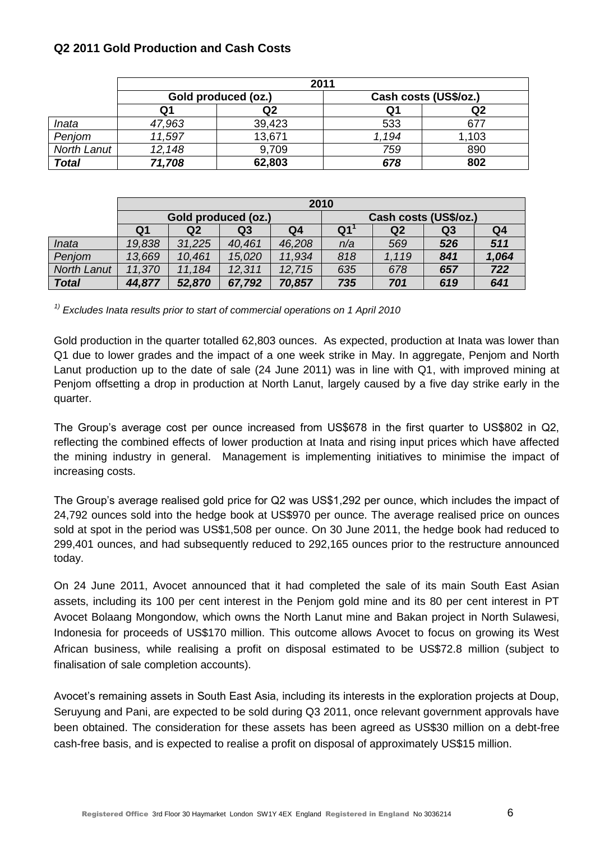# **Q2 2011 Gold Production and Cash Costs**

|              |        | 2011                |       |                       |
|--------------|--------|---------------------|-------|-----------------------|
|              |        | Gold produced (oz.) |       | Cash costs (US\$/oz.) |
|              | Q1     | Q2                  | Q1    | Q2                    |
| Inata        | 47,963 | 39,423              | 533   | 677                   |
| Penjom       | 11,597 | 13,671              | 1.194 | 1,103                 |
| North Lanut  | 12,148 | 9,709               | 759   | 890                   |
| <b>Total</b> | 71,708 | 62,803              | 678   | 802                   |

|                    | 2010                |                |        |                |                       |                |                |                |  |
|--------------------|---------------------|----------------|--------|----------------|-----------------------|----------------|----------------|----------------|--|
|                    | Gold produced (oz.) |                |        |                | Cash costs (US\$/oz.) |                |                |                |  |
|                    | Q1                  | Q <sub>2</sub> | Q3     | Q <sub>4</sub> | Q <sub>1</sub>        | Q <sub>2</sub> | Q <sub>3</sub> | Q <sub>4</sub> |  |
| Inata              | 19,838              | 31,225         | 40,461 | 46,208         | n/a                   | 569            | 526            | 511            |  |
| Penjom             | 13,669              | 10,461         | 15,020 | 11,934         | 818                   | 1,119          | 841            | 1,064          |  |
| <b>North Lanut</b> | 11,370              | 11,184         | 12,311 | 12,715         | 635                   | 678            | 657            | 722            |  |
| <b>Total</b>       | 44,877              | 52,870         | 67,792 | 70,857         | 735                   | 701            | 619            | 641            |  |

*1) Excludes Inata results prior to start of commercial operations on 1 April 2010*

Gold production in the quarter totalled 62,803 ounces. As expected, production at Inata was lower than Q1 due to lower grades and the impact of a one week strike in May. In aggregate, Penjom and North Lanut production up to the date of sale (24 June 2011) was in line with Q1, with improved mining at Penjom offsetting a drop in production at North Lanut, largely caused by a five day strike early in the quarter.

The Group's average cost per ounce increased from US\$678 in the first quarter to US\$802 in Q2, reflecting the combined effects of lower production at Inata and rising input prices which have affected the mining industry in general. Management is implementing initiatives to minimise the impact of increasing costs.

The Group"s average realised gold price for Q2 was US\$1,292 per ounce, which includes the impact of 24,792 ounces sold into the hedge book at US\$970 per ounce. The average realised price on ounces sold at spot in the period was US\$1,508 per ounce. On 30 June 2011, the hedge book had reduced to 299,401 ounces, and had subsequently reduced to 292,165 ounces prior to the restructure announced today.

On 24 June 2011, Avocet announced that it had completed the sale of its main South East Asian assets, including its 100 per cent interest in the Penjom gold mine and its 80 per cent interest in PT Avocet Bolaang Mongondow, which owns the North Lanut mine and Bakan project in North Sulawesi, Indonesia for proceeds of US\$170 million. This outcome allows Avocet to focus on growing its West African business, while realising a profit on disposal estimated to be US\$72.8 million (subject to finalisation of sale completion accounts).

Avocet's remaining assets in South East Asia, including its interests in the exploration projects at Doup, Seruyung and Pani, are expected to be sold during Q3 2011, once relevant government approvals have been obtained. The consideration for these assets has been agreed as US\$30 million on a debt-free cash-free basis, and is expected to realise a profit on disposal of approximately US\$15 million.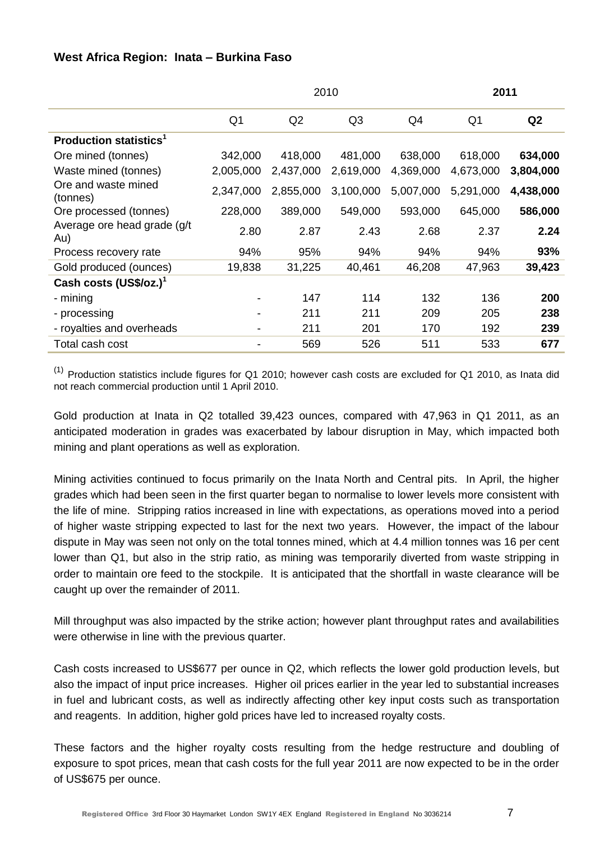# **West Africa Region: Inata – Burkina Faso**

|                                           |                | 2010      | 2011           |           |                |           |
|-------------------------------------------|----------------|-----------|----------------|-----------|----------------|-----------|
|                                           | Q <sub>1</sub> | Q2        | Q <sub>3</sub> | Q4        | Q <sub>1</sub> | Q2        |
| <b>Production statistics</b> <sup>1</sup> |                |           |                |           |                |           |
| Ore mined (tonnes)                        | 342,000        | 418,000   | 481,000        | 638,000   | 618,000        | 634,000   |
| Waste mined (tonnes)                      | 2,005,000      | 2,437,000 | 2,619,000      | 4,369,000 | 4,673,000      | 3,804,000 |
| Ore and waste mined<br>(tonnes)           | 2,347,000      | 2,855,000 | 3,100,000      | 5,007,000 | 5,291,000      | 4,438,000 |
| Ore processed (tonnes)                    | 228,000        | 389,000   | 549,000        | 593,000   | 645,000        | 586,000   |
| Average ore head grade (g/t)<br>Au)       | 2.80           | 2.87      | 2.43           | 2.68      | 2.37           | 2.24      |
| Process recovery rate                     | 94%            | 95%       | 94%            | 94%       | 94%            | 93%       |
| Gold produced (ounces)                    | 19,838         | 31,225    | 40,461         | 46,208    | 47,963         | 39,423    |
| Cash costs $(US$/oz.)1$                   |                |           |                |           |                |           |
| - mining                                  | $\blacksquare$ | 147       | 114            | 132       | 136            | 200       |
| - processing                              | $\blacksquare$ | 211       | 211            | 209       | 205            | 238       |
| - royalties and overheads                 | $\blacksquare$ | 211       | 201            | 170       | 192            | 239       |
| Total cash cost                           |                | 569       | 526            | 511       | 533            | 677       |

 $(1)$  Production statistics include figures for Q1 2010; however cash costs are excluded for Q1 2010, as Inata did not reach commercial production until 1 April 2010.

Gold production at Inata in Q2 totalled 39,423 ounces, compared with 47,963 in Q1 2011, as an anticipated moderation in grades was exacerbated by labour disruption in May, which impacted both mining and plant operations as well as exploration.

Mining activities continued to focus primarily on the Inata North and Central pits. In April, the higher grades which had been seen in the first quarter began to normalise to lower levels more consistent with the life of mine. Stripping ratios increased in line with expectations, as operations moved into a period of higher waste stripping expected to last for the next two years. However, the impact of the labour dispute in May was seen not only on the total tonnes mined, which at 4.4 million tonnes was 16 per cent lower than Q1, but also in the strip ratio, as mining was temporarily diverted from waste stripping in order to maintain ore feed to the stockpile. It is anticipated that the shortfall in waste clearance will be caught up over the remainder of 2011.

Mill throughput was also impacted by the strike action; however plant throughput rates and availabilities were otherwise in line with the previous quarter.

Cash costs increased to US\$677 per ounce in Q2, which reflects the lower gold production levels, but also the impact of input price increases. Higher oil prices earlier in the year led to substantial increases in fuel and lubricant costs, as well as indirectly affecting other key input costs such as transportation and reagents. In addition, higher gold prices have led to increased royalty costs.

These factors and the higher royalty costs resulting from the hedge restructure and doubling of exposure to spot prices, mean that cash costs for the full year 2011 are now expected to be in the order of US\$675 per ounce.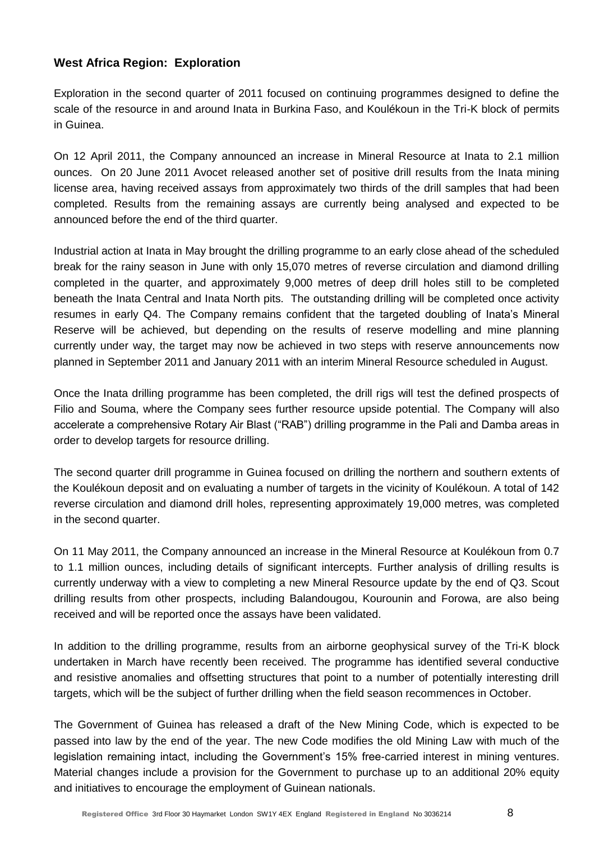# **West Africa Region: Exploration**

Exploration in the second quarter of 2011 focused on continuing programmes designed to define the scale of the resource in and around Inata in Burkina Faso, and Koulékoun in the Tri-K block of permits in Guinea.

On 12 April 2011, the Company announced an increase in Mineral Resource at Inata to 2.1 million ounces. On 20 June 2011 Avocet released another set of positive drill results from the Inata mining license area, having received assays from approximately two thirds of the drill samples that had been completed. Results from the remaining assays are currently being analysed and expected to be announced before the end of the third quarter.

Industrial action at Inata in May brought the drilling programme to an early close ahead of the scheduled break for the rainy season in June with only 15,070 metres of reverse circulation and diamond drilling completed in the quarter, and approximately 9,000 metres of deep drill holes still to be completed beneath the Inata Central and Inata North pits. The outstanding drilling will be completed once activity resumes in early Q4. The Company remains confident that the targeted doubling of Inata"s Mineral Reserve will be achieved, but depending on the results of reserve modelling and mine planning currently under way, the target may now be achieved in two steps with reserve announcements now planned in September 2011 and January 2011 with an interim Mineral Resource scheduled in August.

Once the Inata drilling programme has been completed, the drill rigs will test the defined prospects of Filio and Souma, where the Company sees further resource upside potential. The Company will also accelerate a comprehensive Rotary Air Blast ("RAB") drilling programme in the Pali and Damba areas in order to develop targets for resource drilling.

The second quarter drill programme in Guinea focused on drilling the northern and southern extents of the Koulékoun deposit and on evaluating a number of targets in the vicinity of Koulékoun. A total of 142 reverse circulation and diamond drill holes, representing approximately 19,000 metres, was completed in the second quarter.

On 11 May 2011, the Company announced an increase in the Mineral Resource at Koulékoun from 0.7 to 1.1 million ounces, including details of significant intercepts. Further analysis of drilling results is currently underway with a view to completing a new Mineral Resource update by the end of Q3. Scout drilling results from other prospects, including Balandougou, Kourounin and Forowa, are also being received and will be reported once the assays have been validated.

In addition to the drilling programme, results from an airborne geophysical survey of the Tri-K block undertaken in March have recently been received. The programme has identified several conductive and resistive anomalies and offsetting structures that point to a number of potentially interesting drill targets, which will be the subject of further drilling when the field season recommences in October.

The Government of Guinea has released a draft of the New Mining Code, which is expected to be passed into law by the end of the year. The new Code modifies the old Mining Law with much of the legislation remaining intact, including the Government"s 15% free-carried interest in mining ventures. Material changes include a provision for the Government to purchase up to an additional 20% equity and initiatives to encourage the employment of Guinean nationals.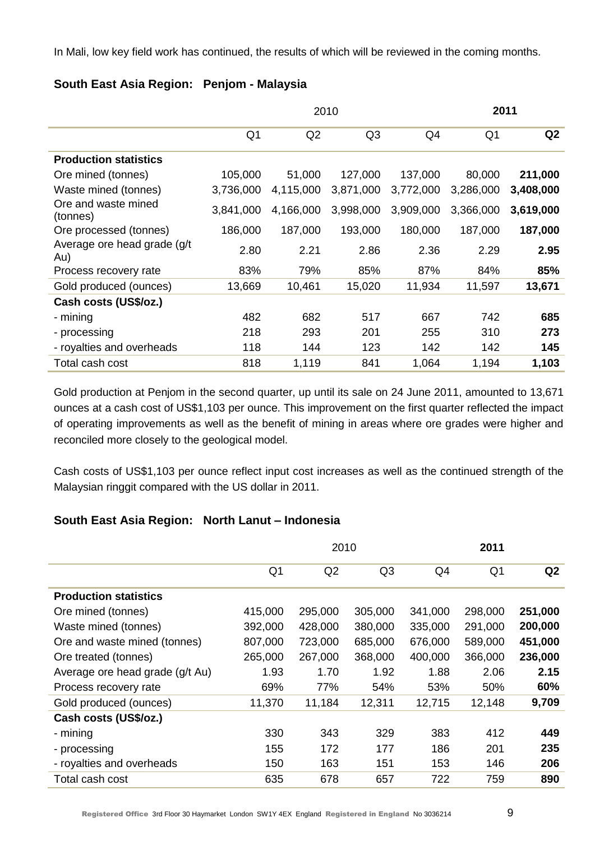In Mali, low key field work has continued, the results of which will be reviewed in the coming months.

# **South East Asia Region: Penjom - Malaysia**

|                                     |                |                | 2010           |           |                | 2011      |  |
|-------------------------------------|----------------|----------------|----------------|-----------|----------------|-----------|--|
|                                     | Q <sub>1</sub> | Q <sub>2</sub> | Q <sub>3</sub> | Q4        | Q <sub>1</sub> | Q2        |  |
| <b>Production statistics</b>        |                |                |                |           |                |           |  |
| Ore mined (tonnes)                  | 105,000        | 51,000         | 127,000        | 137,000   | 80,000         | 211,000   |  |
| Waste mined (tonnes)                | 3,736,000      | 4,115,000      | 3,871,000      | 3,772,000 | 3,286,000      | 3,408,000 |  |
| Ore and waste mined<br>(tonnes)     | 3,841,000      | 4,166,000      | 3,998,000      | 3,909,000 | 3,366,000      | 3,619,000 |  |
| Ore processed (tonnes)              | 186,000        | 187,000        | 193,000        | 180,000   | 187,000        | 187,000   |  |
| Average ore head grade (g/t)<br>Au) | 2.80           | 2.21           | 2.86           | 2.36      | 2.29           | 2.95      |  |
| Process recovery rate               | 83%            | 79%            | 85%            | 87%       | 84%            | 85%       |  |
| Gold produced (ounces)              | 13,669         | 10,461         | 15,020         | 11,934    | 11,597         | 13,671    |  |
| Cash costs (US\$/oz.)               |                |                |                |           |                |           |  |
| - mining                            | 482            | 682            | 517            | 667       | 742            | 685       |  |
| - processing                        | 218            | 293            | 201            | 255       | 310            | 273       |  |
| - royalties and overheads           | 118            | 144            | 123            | 142       | 142            | 145       |  |
| Total cash cost                     | 818            | 1,119          | 841            | 1,064     | 1,194          | 1,103     |  |

Gold production at Penjom in the second quarter, up until its sale on 24 June 2011, amounted to 13,671 ounces at a cash cost of US\$1,103 per ounce. This improvement on the first quarter reflected the impact of operating improvements as well as the benefit of mining in areas where ore grades were higher and reconciled more closely to the geological model.

Cash costs of US\$1,103 per ounce reflect input cost increases as well as the continued strength of the Malaysian ringgit compared with the US dollar in 2011.

# **South East Asia Region: North Lanut – Indonesia**

|                                 |         | 2010    |                |         |                |                |
|---------------------------------|---------|---------|----------------|---------|----------------|----------------|
|                                 | Q1      | Q2      | Q <sub>3</sub> | Q4      | Q <sub>1</sub> | Q <sub>2</sub> |
| <b>Production statistics</b>    |         |         |                |         |                |                |
| Ore mined (tonnes)              | 415,000 | 295,000 | 305,000        | 341,000 | 298,000        | 251,000        |
| Waste mined (tonnes)            | 392,000 | 428,000 | 380,000        | 335,000 | 291,000        | 200,000        |
| Ore and waste mined (tonnes)    | 807,000 | 723,000 | 685,000        | 676,000 | 589,000        | 451,000        |
| Ore treated (tonnes)            | 265,000 | 267,000 | 368,000        | 400,000 | 366,000        | 236,000        |
| Average ore head grade (g/t Au) | 1.93    | 1.70    | 1.92           | 1.88    | 2.06           | 2.15           |
| Process recovery rate           | 69%     | 77%     | 54%            | 53%     | 50%            | 60%            |
| Gold produced (ounces)          | 11,370  | 11,184  | 12,311         | 12,715  | 12,148         | 9,709          |
| Cash costs (US\$/oz.)           |         |         |                |         |                |                |
| - mining                        | 330     | 343     | 329            | 383     | 412            | 449            |
| - processing                    | 155     | 172     | 177            | 186     | 201            | 235            |
| - royalties and overheads       | 150     | 163     | 151            | 153     | 146            | 206            |
| Total cash cost                 | 635     | 678     | 657            | 722     | 759            | 890            |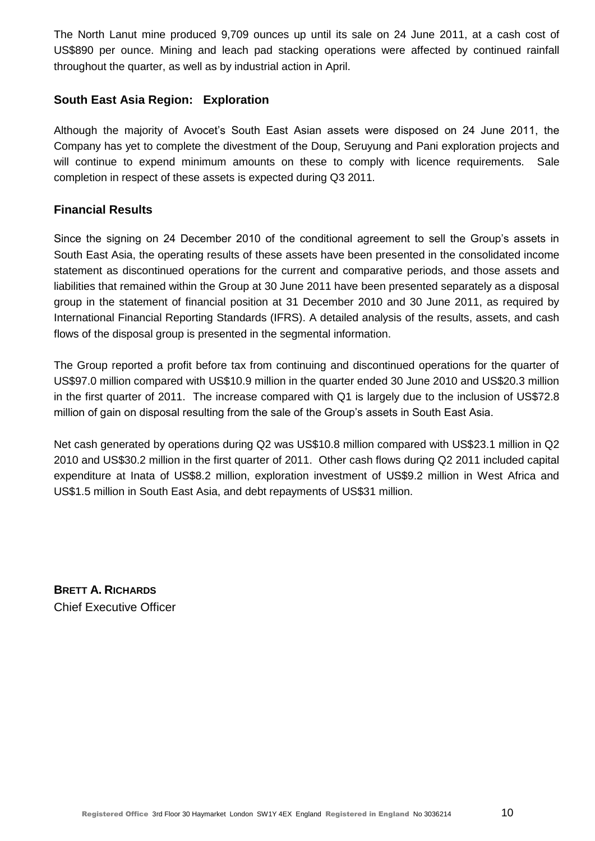The North Lanut mine produced 9,709 ounces up until its sale on 24 June 2011, at a cash cost of US\$890 per ounce. Mining and leach pad stacking operations were affected by continued rainfall throughout the quarter, as well as by industrial action in April.

# **South East Asia Region: Exploration**

Although the majority of Avocet"s South East Asian assets were disposed on 24 June 2011, the Company has yet to complete the divestment of the Doup, Seruyung and Pani exploration projects and will continue to expend minimum amounts on these to comply with licence requirements. Sale completion in respect of these assets is expected during Q3 2011.

# **Financial Results**

Since the signing on 24 December 2010 of the conditional agreement to sell the Group"s assets in South East Asia, the operating results of these assets have been presented in the consolidated income statement as discontinued operations for the current and comparative periods, and those assets and liabilities that remained within the Group at 30 June 2011 have been presented separately as a disposal group in the statement of financial position at 31 December 2010 and 30 June 2011, as required by International Financial Reporting Standards (IFRS). A detailed analysis of the results, assets, and cash flows of the disposal group is presented in the segmental information.

The Group reported a profit before tax from continuing and discontinued operations for the quarter of US\$97.0 million compared with US\$10.9 million in the quarter ended 30 June 2010 and US\$20.3 million in the first quarter of 2011. The increase compared with Q1 is largely due to the inclusion of US\$72.8 million of gain on disposal resulting from the sale of the Group's assets in South East Asia.

Net cash generated by operations during Q2 was US\$10.8 million compared with US\$23.1 million in Q2 2010 and US\$30.2 million in the first quarter of 2011. Other cash flows during Q2 2011 included capital expenditure at Inata of US\$8.2 million, exploration investment of US\$9.2 million in West Africa and US\$1.5 million in South East Asia, and debt repayments of US\$31 million.

**BRETT A. RICHARDS** Chief Executive Officer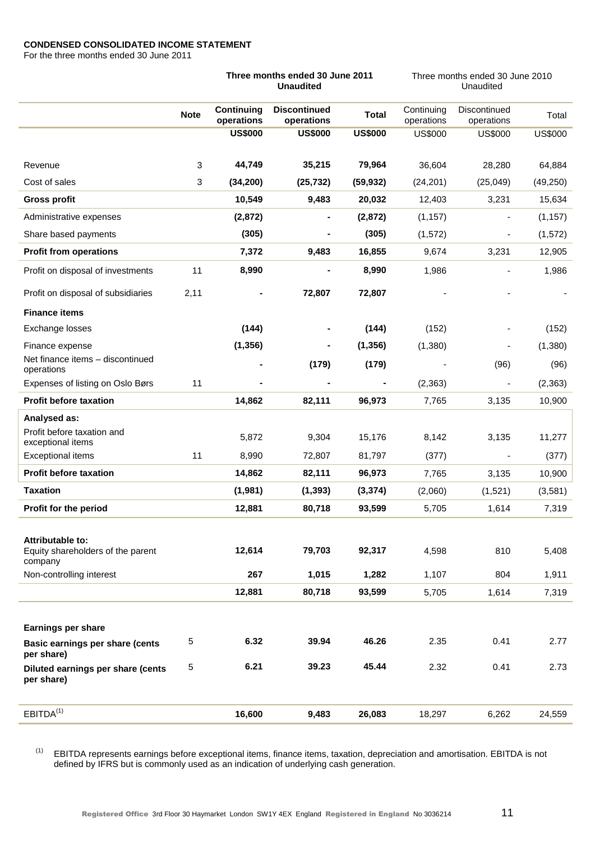### **CONDENSED CONSOLIDATED INCOME STATEMENT**

For the three months ended 30 June 2011

|                                                                  |             | Three months ended 30 June 2011<br><b>Unaudited</b> |                                   |                | Three months ended 30 June 2010<br>Unaudited |                            |                |  |
|------------------------------------------------------------------|-------------|-----------------------------------------------------|-----------------------------------|----------------|----------------------------------------------|----------------------------|----------------|--|
|                                                                  | <b>Note</b> | Continuing<br>operations                            | <b>Discontinued</b><br>operations | <b>Total</b>   | Continuing<br>operations                     | Discontinued<br>operations | Total          |  |
|                                                                  |             | <b>US\$000</b>                                      | <b>US\$000</b>                    | <b>US\$000</b> | <b>US\$000</b>                               | <b>US\$000</b>             | <b>US\$000</b> |  |
| Revenue                                                          | 3           | 44,749                                              | 35,215                            | 79,964         | 36,604                                       | 28,280                     | 64,884         |  |
| Cost of sales                                                    | 3           | (34, 200)                                           | (25, 732)                         | (59, 932)      | (24, 201)                                    | (25, 049)                  | (49, 250)      |  |
| <b>Gross profit</b>                                              |             | 10,549                                              | 9,483                             | 20,032         | 12,403                                       | 3,231                      | 15,634         |  |
| Administrative expenses                                          |             | (2,872)                                             |                                   | (2,872)        | (1, 157)                                     | $\overline{\phantom{a}}$   | (1, 157)       |  |
| Share based payments                                             |             | (305)                                               |                                   | (305)          | (1, 572)                                     |                            | (1, 572)       |  |
| <b>Profit from operations</b>                                    |             | 7,372                                               | 9,483                             | 16,855         | 9,674                                        | 3,231                      | 12,905         |  |
| Profit on disposal of investments                                | 11          | 8,990                                               |                                   | 8,990          | 1,986                                        |                            | 1,986          |  |
| Profit on disposal of subsidiaries                               | 2,11        |                                                     | 72,807                            | 72,807         |                                              |                            |                |  |
| <b>Finance items</b>                                             |             |                                                     |                                   |                |                                              |                            |                |  |
| Exchange losses                                                  |             | (144)                                               |                                   | (144)          | (152)                                        |                            | (152)          |  |
| Finance expense                                                  |             | (1, 356)                                            |                                   | (1, 356)       | (1,380)                                      |                            | (1,380)        |  |
| Net finance items - discontinued<br>operations                   |             |                                                     | (179)                             | (179)          |                                              | (96)                       | (96)           |  |
| Expenses of listing on Oslo Børs                                 | 11          |                                                     |                                   |                | (2, 363)                                     |                            | (2, 363)       |  |
| <b>Profit before taxation</b>                                    |             | 14,862                                              | 82,111                            | 96,973         | 7,765                                        | 3,135                      | 10,900         |  |
| Analysed as:                                                     |             |                                                     |                                   |                |                                              |                            |                |  |
| Profit before taxation and<br>exceptional items                  |             | 5,872                                               | 9,304                             | 15,176         | 8,142                                        | 3,135                      | 11,277         |  |
| <b>Exceptional items</b>                                         | 11          | 8,990                                               | 72,807                            | 81,797         | (377)                                        |                            | (377)          |  |
| <b>Profit before taxation</b>                                    |             | 14,862                                              | 82,111                            | 96,973         | 7,765                                        | 3,135                      | 10,900         |  |
| <b>Taxation</b>                                                  |             | (1,981)                                             | (1, 393)                          | (3, 374)       | (2,060)                                      | (1,521)                    | (3,581)        |  |
| Profit for the period                                            |             | 12,881                                              | 80,718                            | 93,599         | 5,705                                        | 1,614                      | 7,319          |  |
| Attributable to:<br>Equity shareholders of the parent<br>company |             | 12,614                                              | 79,703                            | 92,317         | 4,598                                        | 810                        | 5,408          |  |
| Non-controlling interest                                         |             | 267                                                 | 1,015                             | 1,282          | 1,107                                        | 804                        | 1,911          |  |
|                                                                  |             | 12,881                                              | 80,718                            | 93,599         | 5,705                                        | 1,614                      | 7,319          |  |
|                                                                  |             |                                                     |                                   |                |                                              |                            |                |  |
| <b>Earnings per share</b>                                        |             |                                                     |                                   |                |                                              |                            |                |  |
| Basic earnings per share (cents<br>per share)                    | 5           | 6.32                                                | 39.94                             | 46.26          | 2.35                                         | 0.41                       | 2.77           |  |
| Diluted earnings per share (cents<br>per share)                  | 5           | 6.21                                                | 39.23                             | 45.44          | 2.32                                         | 0.41                       | 2.73           |  |
| EBITDA <sup>(1)</sup>                                            |             | 16,600                                              | 9,483                             | 26,083         | 18,297                                       | 6,262                      | 24,559         |  |

 $(1)$  EBITDA represents earnings before exceptional items, finance items, taxation, depreciation and amortisation. EBITDA is not defined by IFRS but is commonly used as an indication of underlying cash generation.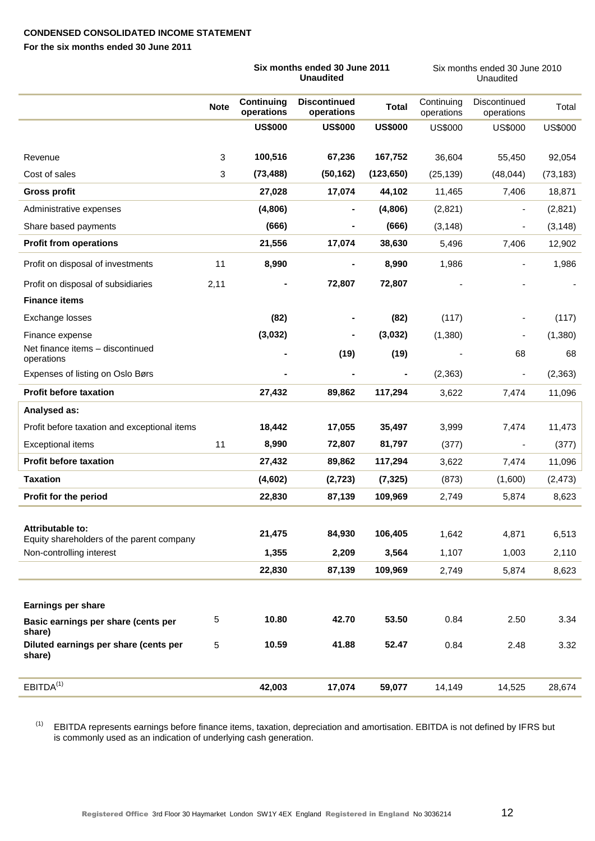# **CONDENSED CONSOLIDATED INCOME STATEMENT**

**For the six months ended 30 June 2011**

|                                                               |             | Six months ended 30 June 2011<br><b>Unaudited</b> |                                   |                | Six months ended 30 June 2010<br>Unaudited |                            |                |
|---------------------------------------------------------------|-------------|---------------------------------------------------|-----------------------------------|----------------|--------------------------------------------|----------------------------|----------------|
|                                                               | <b>Note</b> | <b>Continuing</b><br>operations                   | <b>Discontinued</b><br>operations | <b>Total</b>   | Continuing<br>operations                   | Discontinued<br>operations | Total          |
|                                                               |             | <b>US\$000</b>                                    | <b>US\$000</b>                    | <b>US\$000</b> | <b>US\$000</b>                             | <b>US\$000</b>             | <b>US\$000</b> |
| Revenue                                                       | 3           | 100,516                                           | 67,236                            | 167,752        | 36,604                                     | 55,450                     | 92,054         |
| Cost of sales                                                 | 3           | (73, 488)                                         | (50, 162)                         | (123, 650)     | (25, 139)                                  | (48, 044)                  | (73, 183)      |
| <b>Gross profit</b>                                           |             | 27,028                                            | 17,074                            | 44,102         | 11,465                                     | 7,406                      | 18,871         |
| Administrative expenses                                       |             | (4,806)                                           | $\blacksquare$                    | (4,806)        | (2,821)                                    | $\overline{\phantom{a}}$   | (2,821)        |
| Share based payments                                          |             | (666)                                             |                                   | (666)          | (3, 148)                                   | $\overline{\phantom{a}}$   | (3, 148)       |
| <b>Profit from operations</b>                                 |             | 21,556                                            | 17,074                            | 38,630         | 5,496                                      | 7,406                      | 12,902         |
| Profit on disposal of investments                             | 11          | 8,990                                             |                                   | 8,990          | 1,986                                      | $\overline{\phantom{a}}$   | 1,986          |
| Profit on disposal of subsidiaries                            | 2,11        |                                                   | 72,807                            | 72,807         |                                            |                            |                |
| <b>Finance items</b>                                          |             |                                                   |                                   |                |                                            |                            |                |
| Exchange losses                                               |             | (82)                                              |                                   | (82)           | (117)                                      |                            | (117)          |
| Finance expense                                               |             | (3,032)                                           | ۰                                 | (3,032)        | (1,380)                                    |                            | (1,380)        |
| Net finance items - discontinued<br>operations                |             |                                                   | (19)                              | (19)           |                                            | 68                         | 68             |
| Expenses of listing on Oslo Børs                              |             |                                                   |                                   | $\blacksquare$ | (2, 363)                                   | $\overline{\phantom{a}}$   | (2, 363)       |
| <b>Profit before taxation</b>                                 |             | 27,432                                            | 89,862                            | 117,294        | 3,622                                      | 7,474                      | 11,096         |
| Analysed as:                                                  |             |                                                   |                                   |                |                                            |                            |                |
| Profit before taxation and exceptional items                  |             | 18,442                                            | 17,055                            | 35,497         | 3,999                                      | 7,474                      | 11,473         |
| Exceptional items                                             | 11          | 8,990                                             | 72,807                            | 81,797         | (377)                                      | $\overline{\phantom{a}}$   | (377)          |
| <b>Profit before taxation</b>                                 |             | 27,432                                            | 89,862                            | 117,294        | 3,622                                      | 7,474                      | 11,096         |
| <b>Taxation</b>                                               |             | (4,602)                                           | (2, 723)                          | (7, 325)       | (873)                                      | (1,600)                    | (2, 473)       |
| Profit for the period                                         |             | 22,830                                            | 87,139                            | 109,969        | 2,749                                      | 5,874                      | 8,623          |
|                                                               |             |                                                   |                                   |                |                                            |                            |                |
| Attributable to:<br>Equity shareholders of the parent company |             | 21,475                                            | 84,930                            | 106,405        | 1,642                                      | 4,871                      | 6,513          |
| Non-controlling interest                                      |             | 1,355                                             | 2,209                             | 3,564          | 1,107                                      | 1,003                      | 2,110          |
|                                                               |             | 22,830                                            | 87,139                            | 109,969        | 2,749                                      | 5,874                      | 8,623          |
|                                                               |             |                                                   |                                   |                |                                            |                            |                |
| Earnings per share                                            |             |                                                   |                                   |                |                                            |                            |                |
| Basic earnings per share (cents per<br>share)                 | 5           | 10.80                                             | 42.70                             | 53.50          | 0.84                                       | 2.50                       | 3.34           |
| Diluted earnings per share (cents per<br>share)               | $\sqrt{5}$  | 10.59                                             | 41.88                             | 52.47          | 0.84                                       | 2.48                       | 3.32           |
| EBITDA <sup>(1)</sup>                                         |             | 42,003                                            | 17,074                            | 59,077         | 14,149                                     | 14,525                     | 28,674         |
|                                                               |             |                                                   |                                   |                |                                            |                            |                |

(1) EBITDA represents earnings before finance items, taxation, depreciation and amortisation. EBITDA is not defined by IFRS but is commonly used as an indication of underlying cash generation.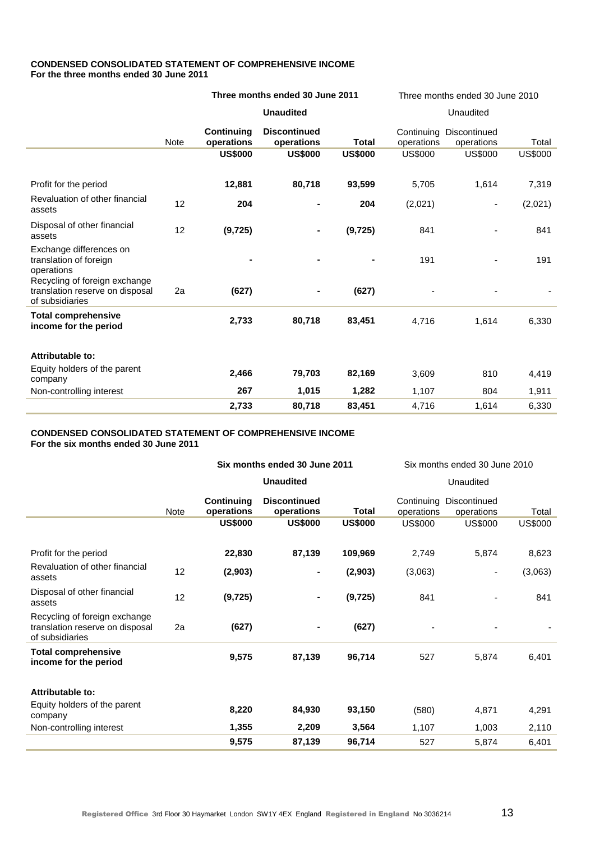### **CONDENSED CONSOLIDATED STATEMENT OF COMPREHENSIVE INCOME For the three months ended 30 June 2011**

|                                                                                     |      | Three months ended 30 June 2011                                                      |                  |                | Three months ended 30 June 2010 |                                       |                |  |
|-------------------------------------------------------------------------------------|------|--------------------------------------------------------------------------------------|------------------|----------------|---------------------------------|---------------------------------------|----------------|--|
|                                                                                     |      |                                                                                      | <b>Unaudited</b> |                | Unaudited                       |                                       |                |  |
|                                                                                     | Note | <b>Discontinued</b><br><b>Continuing</b><br>operations<br>operations<br><b>Total</b> |                  |                | operations                      | Continuing Discontinued<br>operations | Total          |  |
|                                                                                     |      | <b>US\$000</b>                                                                       | <b>US\$000</b>   | <b>US\$000</b> | <b>US\$000</b>                  | <b>US\$000</b>                        | <b>US\$000</b> |  |
| Profit for the period                                                               |      | 12,881                                                                               | 80,718           | 93,599         | 5,705                           | 1,614                                 | 7,319          |  |
| Revaluation of other financial<br>assets                                            | 12   | 204                                                                                  |                  | 204            | (2,021)                         | $\overline{\phantom{m}}$              | (2,021)        |  |
| Disposal of other financial<br>assets                                               | 12   | (9, 725)                                                                             |                  | (9, 725)       | 841                             |                                       | 841            |  |
| Exchange differences on<br>translation of foreign<br>operations                     |      |                                                                                      |                  |                | 191                             |                                       | 191            |  |
| Recycling of foreign exchange<br>translation reserve on disposal<br>of subsidiaries | 2a   | (627)                                                                                |                  | (627)          |                                 |                                       |                |  |
| <b>Total comprehensive</b><br>income for the period                                 |      | 2,733                                                                                | 80,718           | 83,451         | 4,716                           | 1,614                                 | 6,330          |  |
| Attributable to:                                                                    |      |                                                                                      |                  |                |                                 |                                       |                |  |
| Equity holders of the parent<br>company                                             |      | 2,466                                                                                | 79,703           | 82,169         | 3,609                           | 810                                   | 4,419          |  |
| Non-controlling interest                                                            |      | 267                                                                                  | 1,015            | 1,282          | 1,107                           | 804                                   | 1,911          |  |
|                                                                                     |      | 2,733                                                                                | 80,718           | 83,451         | 4,716                           | 1,614                                 | 6,330          |  |

# **CONDENSED CONSOLIDATED STATEMENT OF COMPREHENSIVE INCOME**

**For the six months ended 30 June 2011**

|                                                                                     |             | Six months ended 30 June 2011 |                                   |                | Six months ended 30 June 2010 |                            |                |  |
|-------------------------------------------------------------------------------------|-------------|-------------------------------|-----------------------------------|----------------|-------------------------------|----------------------------|----------------|--|
|                                                                                     |             |                               | <b>Unaudited</b>                  |                | Unaudited                     |                            |                |  |
|                                                                                     | <b>Note</b> | Continuing<br>operations      | <b>Discontinued</b><br>operations | <b>Total</b>   | Continuing<br>operations      | Discontinued<br>operations | Total          |  |
|                                                                                     |             | <b>US\$000</b>                | <b>US\$000</b>                    | <b>US\$000</b> | <b>US\$000</b>                | <b>US\$000</b>             | <b>US\$000</b> |  |
| Profit for the period                                                               |             | 22,830                        | 87,139                            | 109,969        | 2,749                         | 5,874                      | 8,623          |  |
| Revaluation of other financial<br>assets                                            | 12          | (2,903)                       | $\blacksquare$                    | (2,903)        | (3,063)                       | -                          | (3,063)        |  |
| Disposal of other financial<br>assets                                               | 12          | (9, 725)                      |                                   | (9, 725)       | 841                           |                            | 841            |  |
| Recycling of foreign exchange<br>translation reserve on disposal<br>of subsidiaries | 2a          | (627)                         |                                   | (627)          |                               |                            |                |  |
| <b>Total comprehensive</b><br>income for the period                                 |             | 9,575                         | 87,139                            | 96,714         | 527                           | 5,874                      | 6,401          |  |
| Attributable to:                                                                    |             |                               |                                   |                |                               |                            |                |  |
| Equity holders of the parent<br>company                                             |             | 8,220                         | 84,930                            | 93,150         | (580)                         | 4,871                      | 4,291          |  |
| Non-controlling interest                                                            |             | 1,355                         | 2,209                             | 3,564          | 1,107                         | 1,003                      | 2,110          |  |
|                                                                                     |             | 9,575                         | 87,139                            | 96,714         | 527                           | 5,874                      | 6,401          |  |
|                                                                                     |             |                               |                                   |                |                               |                            |                |  |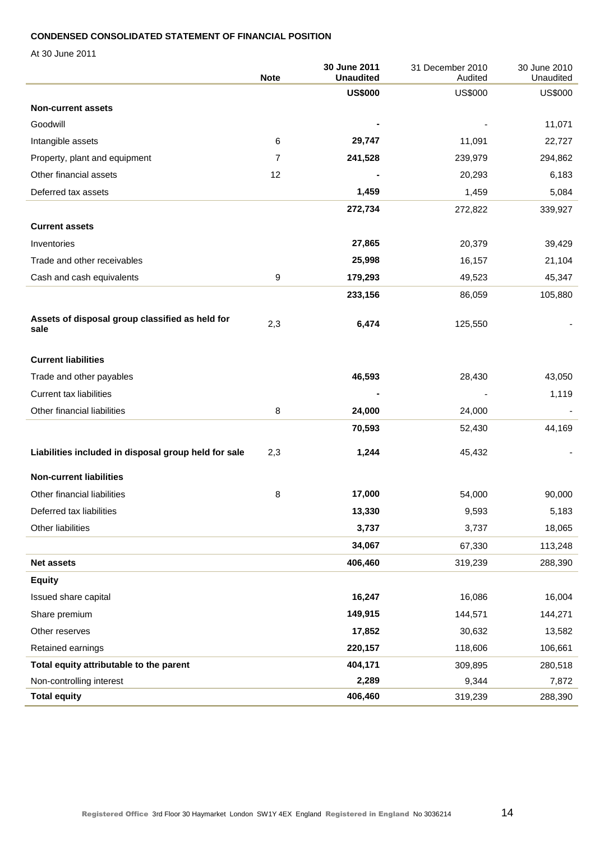### **CONDENSED CONSOLIDATED STATEMENT OF FINANCIAL POSITION**

At 30 June 2011

|                                                         | <b>Note</b>    | 30 June 2011<br><b>Unaudited</b> | 31 December 2010<br>Audited | 30 June 2010<br>Unaudited |
|---------------------------------------------------------|----------------|----------------------------------|-----------------------------|---------------------------|
|                                                         |                | <b>US\$000</b>                   | <b>US\$000</b>              | <b>US\$000</b>            |
| <b>Non-current assets</b>                               |                |                                  |                             |                           |
| Goodwill                                                |                |                                  |                             | 11,071                    |
| Intangible assets                                       | 6              | 29,747                           | 11,091                      | 22,727                    |
| Property, plant and equipment                           | $\overline{7}$ | 241,528                          | 239,979                     | 294,862                   |
| Other financial assets                                  | 12             |                                  | 20,293                      | 6,183                     |
| Deferred tax assets                                     |                | 1,459                            | 1,459                       | 5,084                     |
|                                                         |                | 272,734                          | 272,822                     | 339,927                   |
| <b>Current assets</b>                                   |                |                                  |                             |                           |
| Inventories                                             |                | 27,865                           | 20,379                      | 39,429                    |
| Trade and other receivables                             |                | 25,998                           | 16,157                      | 21,104                    |
| Cash and cash equivalents                               | 9              | 179,293                          | 49,523                      | 45,347                    |
|                                                         |                | 233,156                          | 86,059                      | 105,880                   |
| Assets of disposal group classified as held for<br>sale | 2,3            | 6,474                            | 125,550                     |                           |
| <b>Current liabilities</b>                              |                |                                  |                             |                           |
| Trade and other payables                                |                | 46,593                           | 28,430                      | 43,050                    |
| <b>Current tax liabilities</b>                          |                |                                  |                             | 1,119                     |
| Other financial liabilities                             | 8              | 24,000                           | 24,000                      |                           |
|                                                         |                | 70,593                           | 52,430                      | 44,169                    |
| Liabilities included in disposal group held for sale    | 2,3            | 1,244                            | 45,432                      |                           |
| <b>Non-current liabilities</b>                          |                |                                  |                             |                           |
| Other financial liabilities                             | 8              | 17,000                           | 54,000                      | 90,000                    |
| Deferred tax liabilities                                |                | 13,330                           | 9,593                       | 5,183                     |
| Other liabilities                                       |                | 3,737                            | 3,737                       | 18,065                    |
|                                                         |                | 34,067                           | 67,330                      | 113,248                   |
| <b>Net assets</b>                                       |                | 406,460                          | 319,239                     | 288,390                   |
| <b>Equity</b>                                           |                |                                  |                             |                           |
| Issued share capital                                    |                | 16,247                           | 16,086                      | 16,004                    |
| Share premium                                           |                | 149,915                          | 144,571                     | 144,271                   |
| Other reserves                                          |                | 17,852                           | 30,632                      | 13,582                    |
| Retained earnings                                       |                | 220,157                          | 118,606                     | 106,661                   |
| Total equity attributable to the parent                 |                | 404,171                          | 309,895                     | 280,518                   |
| Non-controlling interest                                |                | 2,289                            | 9,344                       | 7,872                     |
| <b>Total equity</b>                                     |                | 406,460                          | 319,239                     | 288,390                   |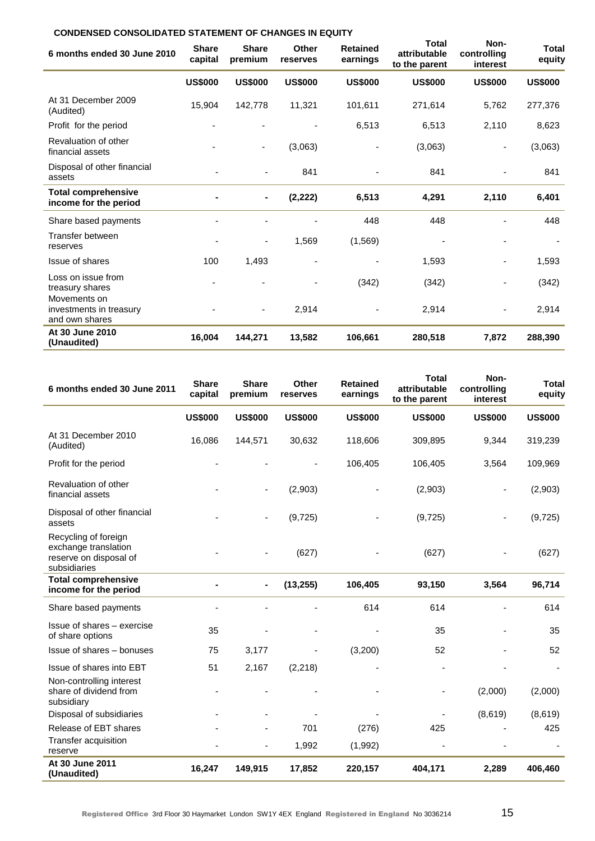# **CONDENSED CONSOLIDATED STATEMENT OF CHANGES IN EQUITY**

| 6 months ended 30 June 2010                               | <b>Share</b><br>capital | <b>Share</b><br>premium  | Other<br>reserves | <b>Retained</b><br>earnings | <b>Total</b><br>attributable<br>to the parent | Non-<br>controlling<br>interest | Total<br>equity |
|-----------------------------------------------------------|-------------------------|--------------------------|-------------------|-----------------------------|-----------------------------------------------|---------------------------------|-----------------|
|                                                           | <b>US\$000</b>          | <b>US\$000</b>           | <b>US\$000</b>    | <b>US\$000</b>              | <b>US\$000</b>                                | <b>US\$000</b>                  | <b>US\$000</b>  |
| At 31 December 2009<br>(Audited)                          | 15,904                  | 142,778                  | 11,321            | 101,611                     | 271,614                                       | 5,762                           | 277,376         |
| Profit for the period                                     |                         |                          |                   | 6,513                       | 6,513                                         | 2,110                           | 8,623           |
| Revaluation of other<br>financial assets                  |                         | $\overline{\phantom{a}}$ | (3,063)           |                             | (3,063)                                       |                                 | (3,063)         |
| Disposal of other financial<br>assets                     |                         |                          | 841               |                             | 841                                           |                                 | 841             |
| <b>Total comprehensive</b><br>income for the period       |                         |                          | (2, 222)          | 6,513                       | 4,291                                         | 2,110                           | 6,401           |
| Share based payments                                      |                         |                          |                   | 448                         | 448                                           |                                 | 448             |
| Transfer between<br>reserves                              |                         | $\overline{a}$           | 1,569             | (1, 569)                    |                                               |                                 |                 |
| Issue of shares                                           | 100                     | 1,493                    |                   |                             | 1,593                                         |                                 | 1,593           |
| Loss on issue from<br>treasury shares                     |                         |                          |                   | (342)                       | (342)                                         |                                 | (342)           |
| Movements on<br>investments in treasury<br>and own shares |                         | $\blacksquare$           | 2,914             |                             | 2,914                                         |                                 | 2,914           |
| At 30 June 2010<br>(Unaudited)                            | 16,004                  | 144,271                  | 13,582            | 106,661                     | 280,518                                       | 7,872                           | 288,390         |

| 6 months ended 30 June 2011                                                            | <b>Share</b><br>capital | <b>Share</b><br>premium      | Other<br>reserves | <b>Retained</b><br>earnings | <b>Total</b><br>attributable<br>to the parent | Non-<br>controlling<br>interest | <b>Total</b><br>equity |
|----------------------------------------------------------------------------------------|-------------------------|------------------------------|-------------------|-----------------------------|-----------------------------------------------|---------------------------------|------------------------|
|                                                                                        | <b>US\$000</b>          | <b>US\$000</b>               | <b>US\$000</b>    | <b>US\$000</b>              | <b>US\$000</b>                                | <b>US\$000</b>                  | <b>US\$000</b>         |
| At 31 December 2010<br>(Audited)                                                       | 16,086                  | 144,571                      | 30,632            | 118,606                     | 309,895                                       | 9,344                           | 319,239                |
| Profit for the period                                                                  |                         |                              |                   | 106,405                     | 106,405                                       | 3,564                           | 109,969                |
| Revaluation of other<br>financial assets                                               |                         | $\blacksquare$               | (2,903)           |                             | (2,903)                                       | ۰                               | (2,903)                |
| Disposal of other financial<br>assets                                                  |                         |                              | (9, 725)          |                             | (9, 725)                                      |                                 | (9, 725)               |
| Recycling of foreign<br>exchange translation<br>reserve on disposal of<br>subsidiaries |                         |                              | (627)             |                             | (627)                                         |                                 | (627)                  |
| <b>Total comprehensive</b><br>income for the period                                    |                         | $\qquad \qquad \blacksquare$ | (13, 255)         | 106,405                     | 93,150                                        | 3,564                           | 96,714                 |
| Share based payments                                                                   |                         |                              |                   | 614                         | 614                                           |                                 | 614                    |
| Issue of shares - exercise<br>of share options                                         | 35                      |                              |                   |                             | 35                                            |                                 | 35                     |
| Issue of shares - bonuses                                                              | 75                      | 3,177                        |                   | (3,200)                     | 52                                            |                                 | 52                     |
| Issue of shares into EBT                                                               | 51                      | 2,167                        | (2, 218)          |                             |                                               |                                 |                        |
| Non-controlling interest<br>share of dividend from<br>subsidiary                       |                         |                              |                   |                             |                                               | (2,000)                         | (2,000)                |
| Disposal of subsidiaries                                                               |                         |                              |                   |                             |                                               | (8,619)                         | (8,619)                |
| Release of EBT shares                                                                  |                         |                              | 701               | (276)                       | 425                                           |                                 | 425                    |
| Transfer acquisition<br>reserve                                                        |                         |                              | 1,992             | (1,992)                     |                                               |                                 |                        |
| At 30 June 2011<br>(Unaudited)                                                         | 16,247                  | 149,915                      | 17,852            | 220,157                     | 404,171                                       | 2,289                           | 406,460                |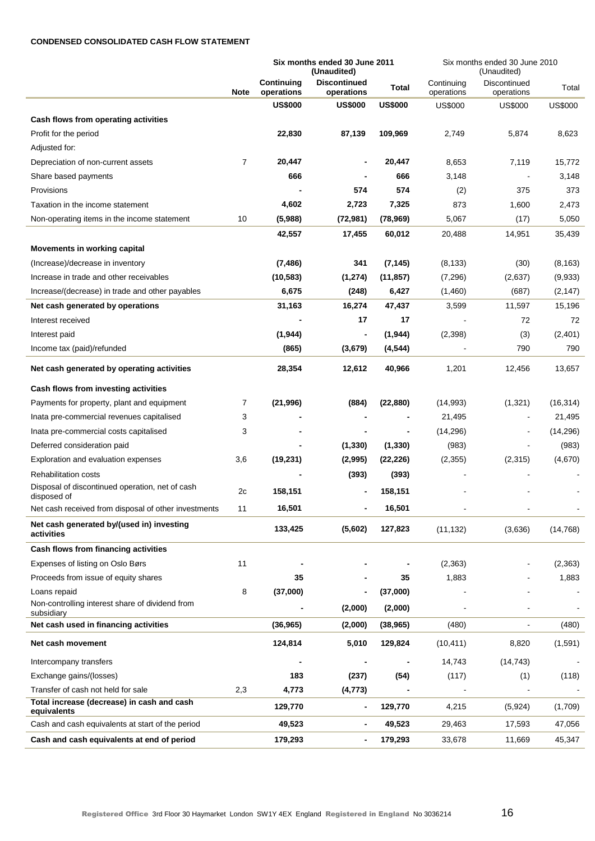#### **CONDENSED CONSOLIDATED CASH FLOW STATEMENT**

|                                                                |                | Six months ended 30 June 2011<br>(Unaudited) |                                   |                | Six months ended 30 June 2010<br>(Unaudited) |                            |                |  |
|----------------------------------------------------------------|----------------|----------------------------------------------|-----------------------------------|----------------|----------------------------------------------|----------------------------|----------------|--|
|                                                                | <b>Note</b>    | Continuing<br>operations                     | <b>Discontinued</b><br>operations | Total          | Continuing<br>operations                     | Discontinued<br>operations | Total          |  |
|                                                                |                | <b>US\$000</b>                               | <b>US\$000</b>                    | <b>US\$000</b> | <b>US\$000</b>                               | <b>US\$000</b>             | <b>US\$000</b> |  |
| Cash flows from operating activities                           |                |                                              |                                   |                |                                              |                            |                |  |
| Profit for the period                                          |                | 22,830                                       | 87,139                            | 109,969        | 2,749                                        | 5,874                      | 8,623          |  |
| Adjusted for:                                                  |                |                                              |                                   |                |                                              |                            |                |  |
| Depreciation of non-current assets                             | $\overline{7}$ | 20,447                                       |                                   | 20,447         | 8,653                                        | 7,119                      | 15,772         |  |
| Share based payments                                           |                | 666                                          |                                   | 666            | 3,148                                        |                            | 3,148          |  |
| Provisions                                                     |                |                                              | 574                               | 574            | (2)                                          | 375                        | 373            |  |
| Taxation in the income statement                               |                | 4,602                                        | 2,723                             | 7,325          | 873                                          | 1,600                      | 2,473          |  |
| Non-operating items in the income statement                    | 10             | (5,988)                                      | (72, 981)                         | (78, 969)      | 5,067                                        | (17)                       | 5,050          |  |
|                                                                |                | 42,557                                       | 17,455                            | 60,012         | 20,488                                       | 14,951                     | 35,439         |  |
| Movements in working capital                                   |                |                                              |                                   |                |                                              |                            |                |  |
| (Increase)/decrease in inventory                               |                | (7, 486)                                     | 341                               | (7, 145)       | (8, 133)                                     | (30)                       | (8, 163)       |  |
| Increase in trade and other receivables                        |                | (10, 583)                                    | (1, 274)                          | (11, 857)      | (7,296)                                      | (2,637)                    | (9,933)        |  |
| Increase/(decrease) in trade and other payables                |                | 6,675                                        | (248)                             | 6,427          | (1,460)                                      | (687)                      | (2, 147)       |  |
| Net cash generated by operations                               |                | 31,163                                       | 16,274                            | 47,437         | 3,599                                        | 11,597                     | 15,196         |  |
| Interest received                                              |                |                                              | 17                                | 17             |                                              | 72                         | 72             |  |
| Interest paid                                                  |                | (1,944)                                      | ٠                                 | (1, 944)       | (2,398)                                      | (3)                        | (2,401)        |  |
| Income tax (paid)/refunded                                     |                | (865)                                        | (3,679)                           | (4, 544)       |                                              | 790                        | 790            |  |
| Net cash generated by operating activities                     |                | 28,354                                       | 12,612                            | 40,966         | 1,201                                        | 12,456                     | 13,657         |  |
| Cash flows from investing activities                           |                |                                              |                                   |                |                                              |                            |                |  |
| Payments for property, plant and equipment                     | 7              | (21, 996)                                    | (884)                             | (22, 880)      | (14, 993)                                    | (1, 321)                   | (16, 314)      |  |
| Inata pre-commercial revenues capitalised                      | 3              |                                              |                                   |                | 21,495                                       | $\blacksquare$             | 21,495         |  |
| Inata pre-commercial costs capitalised                         | 3              |                                              |                                   |                | (14, 296)                                    |                            | (14, 296)      |  |
| Deferred consideration paid                                    |                |                                              | (1, 330)                          | (1, 330)       | (983)                                        |                            | (983)          |  |
| Exploration and evaluation expenses                            | 3,6            | (19, 231)                                    | (2,995)                           | (22, 226)      | (2,355)                                      | (2, 315)                   | (4,670)        |  |
| <b>Rehabilitation costs</b>                                    |                |                                              | (393)                             | (393)          |                                              |                            |                |  |
| Disposal of discontinued operation, net of cash<br>disposed of | 2c             | 158,151                                      | ٠                                 | 158,151        |                                              |                            |                |  |
| Net cash received from disposal of other investments           | 11             | 16,501                                       |                                   | 16,501         |                                              |                            |                |  |
| Net cash generated by/(used in) investing<br>activities        |                | 133,425                                      | (5,602)                           | 127,823        | (11, 132)                                    | (3,636)                    | (14, 768)      |  |
| Cash flows from financing activities                           |                |                                              |                                   |                |                                              |                            |                |  |
| Expenses of listing on Oslo Børs                               | 11             |                                              |                                   |                | (2,363)                                      |                            | (2,363)        |  |
| Proceeds from issue of equity shares                           |                | 35                                           |                                   | 35             | 1,883                                        |                            | 1,883          |  |
| Loans repaid                                                   | 8              | (37,000)                                     |                                   | (37,000)       |                                              |                            |                |  |
| Non-controlling interest share of dividend from<br>subsidiary  |                |                                              | (2,000)                           | (2,000)        |                                              |                            |                |  |
| Net cash used in financing activities                          |                | (36, 965)                                    | (2,000)                           | (38, 965)      | (480)                                        |                            | (480)          |  |
| Net cash movement                                              |                | 124,814                                      | 5,010                             | 129,824        | (10, 411)                                    | 8,820                      | (1,591)        |  |
| Intercompany transfers                                         |                |                                              |                                   |                | 14,743                                       | (14, 743)                  |                |  |
| Exchange gains/(losses)                                        |                | 183                                          | (237)                             | (54)           | (117)                                        | (1)                        | (118)          |  |
| Transfer of cash not held for sale                             | 2,3            | 4,773                                        | (4, 773)                          |                |                                              |                            |                |  |
| Total increase (decrease) in cash and cash<br>equivalents      |                | 129,770                                      | -                                 | 129,770        | 4,215                                        | (5,924)                    | (1,709)        |  |
| Cash and cash equivalents at start of the period               |                | 49,523                                       | $\qquad \qquad \blacksquare$      | 49,523         | 29,463                                       | 17,593                     | 47,056         |  |
| Cash and cash equivalents at end of period                     |                | 179,293                                      | ۰                                 | 179,293        | 33,678                                       | 11,669                     | 45,347         |  |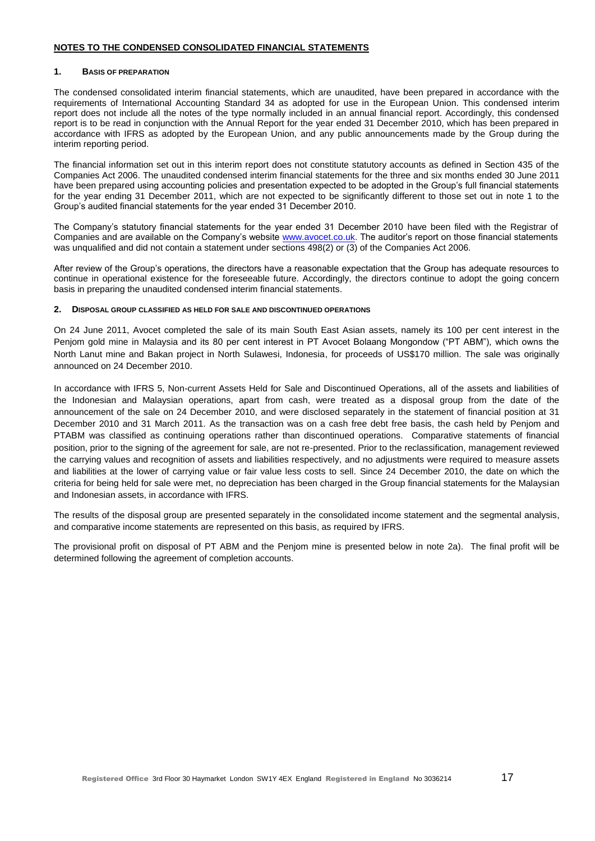### **NOTES TO THE CONDENSED CONSOLIDATED FINANCIAL STATEMENTS**

#### **1. BASIS OF PREPARATION**

The condensed consolidated interim financial statements, which are unaudited, have been prepared in accordance with the requirements of International Accounting Standard 34 as adopted for use in the European Union. This condensed interim report does not include all the notes of the type normally included in an annual financial report. Accordingly, this condensed report is to be read in conjunction with the Annual Report for the year ended 31 December 2010, which has been prepared in accordance with IFRS as adopted by the European Union, and any public announcements made by the Group during the interim reporting period.

The financial information set out in this interim report does not constitute statutory accounts as defined in Section 435 of the Companies Act 2006. The unaudited condensed interim financial statements for the three and six months ended 30 June 2011 have been prepared using accounting policies and presentation expected to be adopted in the Group"s full financial statements for the year ending 31 December 2011, which are not expected to be significantly different to those set out in note 1 to the Group"s audited financial statements for the year ended 31 December 2010.

The Company"s statutory financial statements for the year ended 31 December 2010 have been filed with the Registrar of Companies and are available on the Company's website [www.avocet.co.uk.](http://www.avocet.co.uk/) The auditor's report on those financial statements was unqualified and did not contain a statement under sections 498(2) or (3) of the Companies Act 2006.

After review of the Group"s operations, the directors have a reasonable expectation that the Group has adequate resources to continue in operational existence for the foreseeable future. Accordingly, the directors continue to adopt the going concern basis in preparing the unaudited condensed interim financial statements.

#### **2. DISPOSAL GROUP CLASSIFIED AS HELD FOR SALE AND DISCONTINUED OPERATIONS**

On 24 June 2011, Avocet completed the sale of its main South East Asian assets, namely its 100 per cent interest in the Penjom gold mine in Malaysia and its 80 per cent interest in PT Avocet Bolaang Mongondow ("PT ABM"), which owns the North Lanut mine and Bakan project in North Sulawesi, Indonesia, for proceeds of US\$170 million. The sale was originally announced on 24 December 2010.

In accordance with IFRS 5, Non-current Assets Held for Sale and Discontinued Operations, all of the assets and liabilities of the Indonesian and Malaysian operations, apart from cash, were treated as a disposal group from the date of the announcement of the sale on 24 December 2010, and were disclosed separately in the statement of financial position at 31 December 2010 and 31 March 2011. As the transaction was on a cash free debt free basis, the cash held by Penjom and PTABM was classified as continuing operations rather than discontinued operations. Comparative statements of financial position, prior to the signing of the agreement for sale, are not re-presented. Prior to the reclassification, management reviewed the carrying values and recognition of assets and liabilities respectively, and no adjustments were required to measure assets and liabilities at the lower of carrying value or fair value less costs to sell. Since 24 December 2010, the date on which the criteria for being held for sale were met, no depreciation has been charged in the Group financial statements for the Malaysian and Indonesian assets, in accordance with IFRS.

The results of the disposal group are presented separately in the consolidated income statement and the segmental analysis, and comparative income statements are represented on this basis, as required by IFRS.

The provisional profit on disposal of PT ABM and the Penjom mine is presented below in note 2a). The final profit will be determined following the agreement of completion accounts.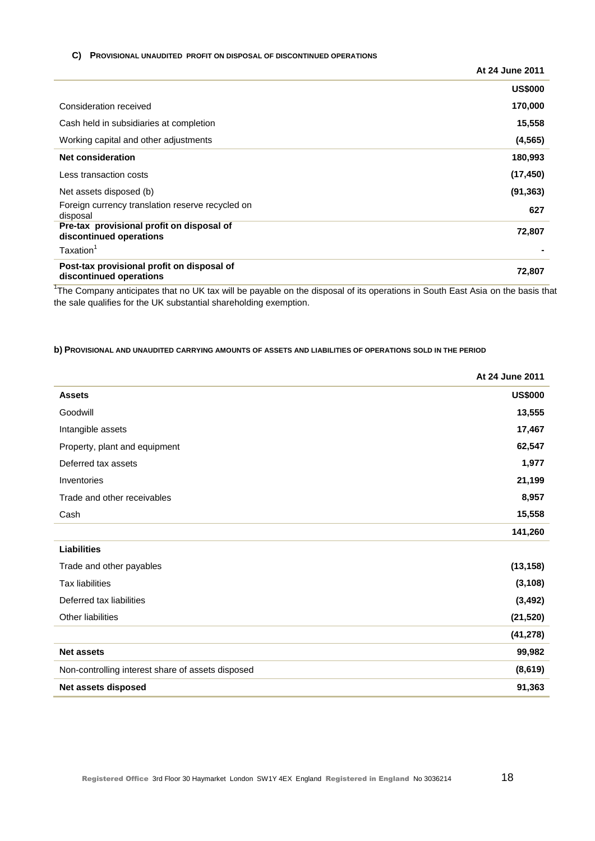#### **C) PROVISIONAL UNAUDITED PROFIT ON DISPOSAL OF DISCONTINUED OPERATIONS**

|                                                                       | At 24 June 2011 |
|-----------------------------------------------------------------------|-----------------|
|                                                                       | <b>US\$000</b>  |
| Consideration received                                                | 170,000         |
| Cash held in subsidiaries at completion                               | 15,558          |
| Working capital and other adjustments                                 | (4, 565)        |
| <b>Net consideration</b>                                              | 180,993         |
| Less transaction costs                                                | (17, 450)       |
| Net assets disposed (b)                                               | (91, 363)       |
| Foreign currency translation reserve recycled on<br>disposal          | 627             |
| Pre-tax provisional profit on disposal of<br>discontinued operations  | 72,807          |
| Taxation <sup>1</sup>                                                 |                 |
| Post-tax provisional profit on disposal of<br>discontinued operations | 72,807          |

<sup>1</sup>The Company anticipates that no UK tax will be payable on the disposal of its operations in South East Asia on the basis that the sale qualifies for the UK substantial shareholding exemption.

### **b) PROVISIONAL AND UNAUDITED CARRYING AMOUNTS OF ASSETS AND LIABILITIES OF OPERATIONS SOLD IN THE PERIOD**

|                                                   | At 24 June 2011 |
|---------------------------------------------------|-----------------|
| <b>Assets</b>                                     | <b>US\$000</b>  |
| Goodwill                                          | 13,555          |
| Intangible assets                                 | 17,467          |
| Property, plant and equipment                     | 62,547          |
| Deferred tax assets                               | 1,977           |
| Inventories                                       | 21,199          |
| Trade and other receivables                       | 8,957           |
| Cash                                              | 15,558          |
|                                                   | 141,260         |
| <b>Liabilities</b>                                |                 |
| Trade and other payables                          | (13, 158)       |
| <b>Tax liabilities</b>                            | (3, 108)        |
| Deferred tax liabilities                          | (3, 492)        |
| Other liabilities                                 | (21, 520)       |
|                                                   | (41, 278)       |
| <b>Net assets</b>                                 | 99,982          |
| Non-controlling interest share of assets disposed | (8,619)         |
| Net assets disposed                               | 91,363          |
|                                                   |                 |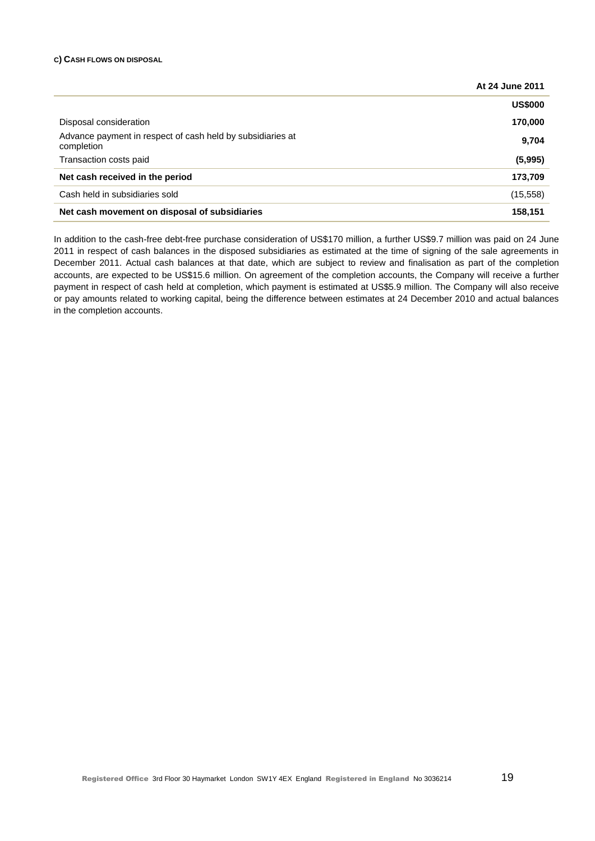### **C) CASH FLOWS ON DISPOSAL**

|                                                                          | At 24 June 2011 |
|--------------------------------------------------------------------------|-----------------|
|                                                                          | <b>US\$000</b>  |
| Disposal consideration                                                   | 170,000         |
| Advance payment in respect of cash held by subsidiaries at<br>completion | 9,704           |
| Transaction costs paid                                                   | (5,995)         |
| Net cash received in the period                                          | 173,709         |
| Cash held in subsidiaries sold                                           | (15, 558)       |
| Net cash movement on disposal of subsidiaries                            | 158,151         |

In addition to the cash-free debt-free purchase consideration of US\$170 million, a further US\$9.7 million was paid on 24 June 2011 in respect of cash balances in the disposed subsidiaries as estimated at the time of signing of the sale agreements in December 2011. Actual cash balances at that date, which are subject to review and finalisation as part of the completion accounts, are expected to be US\$15.6 million. On agreement of the completion accounts, the Company will receive a further payment in respect of cash held at completion, which payment is estimated at US\$5.9 million. The Company will also receive or pay amounts related to working capital, being the difference between estimates at 24 December 2010 and actual balances in the completion accounts.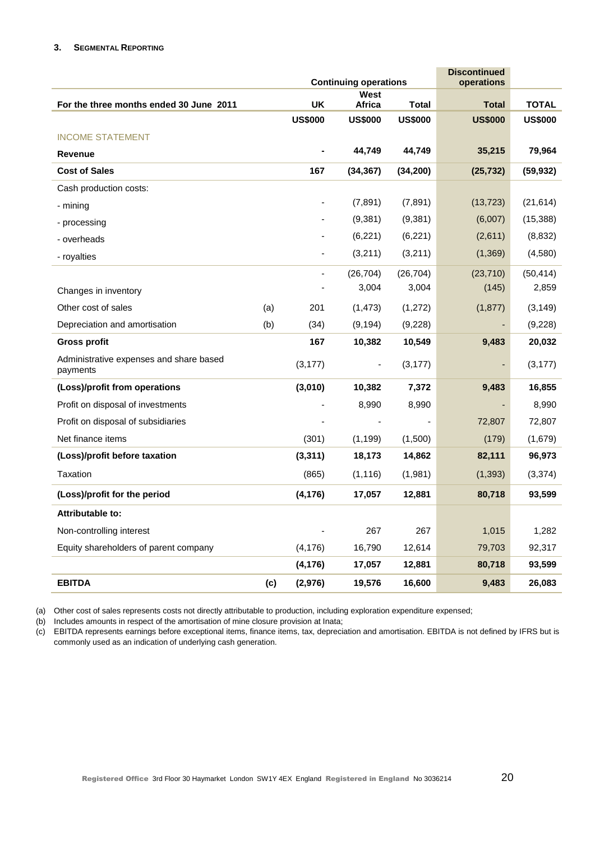### **3. SEGMENTAL REPORTING**

|                                                     |     |                              | <b>Continuing operations</b> | <b>Discontinued</b><br>operations |                |                |
|-----------------------------------------------------|-----|------------------------------|------------------------------|-----------------------------------|----------------|----------------|
|                                                     |     |                              | West                         |                                   |                |                |
| For the three months ended 30 June 2011             |     | <b>UK</b>                    | Africa                       | <b>Total</b>                      | <b>Total</b>   | <b>TOTAL</b>   |
|                                                     |     | <b>US\$000</b>               | <b>US\$000</b>               | <b>US\$000</b>                    | <b>US\$000</b> | <b>US\$000</b> |
| <b>INCOME STATEMENT</b>                             |     |                              |                              |                                   |                |                |
| <b>Revenue</b>                                      |     |                              | 44,749                       | 44,749                            | 35,215         | 79,964         |
| <b>Cost of Sales</b>                                |     | 167                          | (34, 367)                    | (34, 200)                         | (25, 732)      | (59, 932)      |
| Cash production costs:                              |     |                              |                              |                                   |                |                |
| - mining                                            |     | $\overline{\phantom{a}}$     | (7,891)                      | (7,891)                           | (13, 723)      | (21, 614)      |
| - processing                                        |     |                              | (9,381)                      | (9, 381)                          | (6,007)        | (15, 388)      |
| - overheads                                         |     |                              | (6,221)                      | (6, 221)                          | (2,611)        | (8,832)        |
| - royalties                                         |     |                              | (3,211)                      | (3,211)                           | (1,369)        | (4,580)        |
|                                                     |     | $\qquad \qquad \blacksquare$ | (26, 704)                    | (26, 704)                         | (23, 710)      | (50, 414)      |
| Changes in inventory                                |     |                              | 3,004                        | 3,004                             | (145)          | 2,859          |
| Other cost of sales                                 | (a) | 201                          | (1, 473)                     | (1,272)                           | (1, 877)       | (3, 149)       |
| Depreciation and amortisation                       | (b) | (34)                         | (9, 194)                     | (9,228)                           |                | (9,228)        |
| <b>Gross profit</b>                                 |     | 167                          | 10,382                       | 10,549                            | 9,483          | 20,032         |
| Administrative expenses and share based<br>payments |     | (3, 177)                     | ۰                            | (3, 177)                          | ٠              | (3, 177)       |
| (Loss)/profit from operations                       |     | (3,010)                      | 10,382                       | 7,372                             | 9,483          | 16,855         |
| Profit on disposal of investments                   |     |                              | 8,990                        | 8,990                             |                | 8,990          |
| Profit on disposal of subsidiaries                  |     |                              |                              |                                   | 72,807         | 72,807         |
| Net finance items                                   |     | (301)                        | (1, 199)                     | (1,500)                           | (179)          | (1,679)        |
| (Loss)/profit before taxation                       |     | (3, 311)                     | 18,173                       | 14,862                            | 82,111         | 96,973         |
| Taxation                                            |     | (865)                        | (1, 116)                     | (1,981)                           | (1, 393)       | (3, 374)       |
| (Loss)/profit for the period                        |     | (4, 176)                     | 17,057                       | 12,881                            | 80,718         | 93,599         |
| Attributable to:                                    |     |                              |                              |                                   |                |                |
| Non-controlling interest                            |     |                              | 267                          | 267                               | 1,015          | 1,282          |
| Equity shareholders of parent company               |     | (4, 176)                     | 16,790                       | 12,614                            | 79,703         | 92,317         |
|                                                     |     | (4, 176)                     | 17,057                       | 12,881                            | 80,718         | 93,599         |
| <b>EBITDA</b>                                       | (c) | (2, 976)                     | 19,576                       | 16,600                            | 9,483          | 26,083         |

(a) Other cost of sales represents costs not directly attributable to production, including exploration expenditure expensed;

(b) Includes amounts in respect of the amortisation of mine closure provision at Inata;

(c) EBITDA represents earnings before exceptional items, finance items, tax, depreciation and amortisation. EBITDA is not defined by IFRS but is commonly used as an indication of underlying cash generation.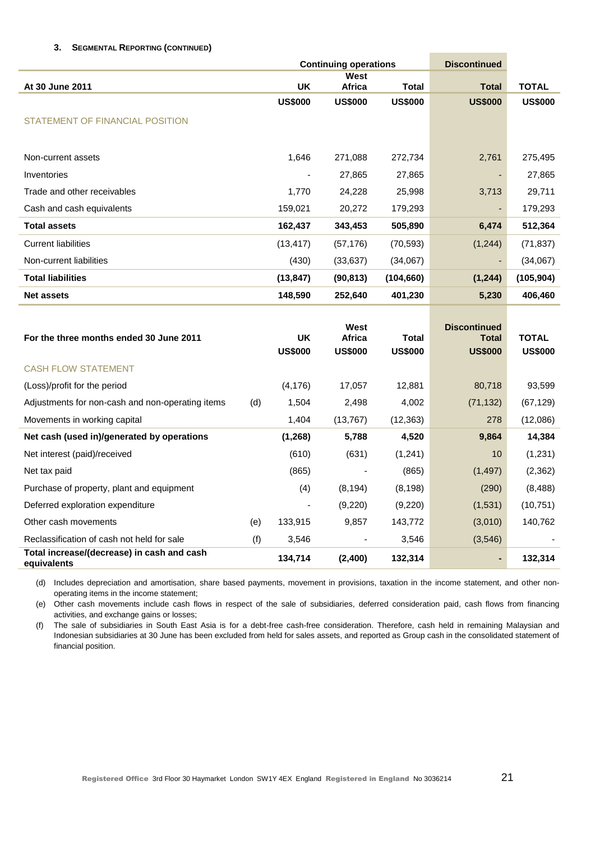### **3. SEGMENTAL REPORTING (CONTINUED)**

|                                                           |     |                             | <b>Discontinued</b><br><b>Continuing operations</b> |                                |                                                       |                                |  |
|-----------------------------------------------------------|-----|-----------------------------|-----------------------------------------------------|--------------------------------|-------------------------------------------------------|--------------------------------|--|
| At 30 June 2011                                           |     | <b>UK</b>                   | West<br>Africa                                      | <b>Total</b>                   | <b>Total</b>                                          | <b>TOTAL</b>                   |  |
|                                                           |     | <b>US\$000</b>              | <b>US\$000</b>                                      | <b>US\$000</b>                 | <b>US\$000</b>                                        | <b>US\$000</b>                 |  |
| STATEMENT OF FINANCIAL POSITION                           |     |                             |                                                     |                                |                                                       |                                |  |
|                                                           |     |                             |                                                     |                                |                                                       |                                |  |
| Non-current assets                                        |     | 1,646                       | 271,088                                             | 272,734                        | 2,761                                                 | 275,495                        |  |
| Inventories                                               |     |                             | 27,865                                              | 27,865                         |                                                       | 27,865                         |  |
| Trade and other receivables                               |     | 1,770                       | 24,228                                              | 25,998                         | 3,713                                                 | 29,711                         |  |
| Cash and cash equivalents                                 |     | 159,021                     | 20,272                                              | 179,293                        | ÷                                                     | 179,293                        |  |
| <b>Total assets</b>                                       |     | 162,437                     | 343,453                                             | 505,890                        | 6,474                                                 | 512,364                        |  |
| <b>Current liabilities</b>                                |     | (13, 417)                   | (57, 176)                                           | (70, 593)                      | (1,244)                                               | (71, 837)                      |  |
| Non-current liabilities                                   |     | (430)                       | (33, 637)                                           | (34,067)                       |                                                       | (34,067)                       |  |
| <b>Total liabilities</b>                                  |     | (13, 847)                   | (90, 813)                                           | (104, 660)                     | (1, 244)                                              | (105, 904)                     |  |
| <b>Net assets</b>                                         |     | 148,590                     | 252,640                                             | 401,230                        | 5,230                                                 | 406,460                        |  |
| For the three months ended 30 June 2011                   |     | <b>UK</b><br><b>US\$000</b> | West<br><b>Africa</b><br><b>US\$000</b>             | <b>Total</b><br><b>US\$000</b> | <b>Discontinued</b><br><b>Total</b><br><b>US\$000</b> | <b>TOTAL</b><br><b>US\$000</b> |  |
| <b>CASH FLOW STATEMENT</b>                                |     |                             |                                                     |                                |                                                       |                                |  |
| (Loss)/profit for the period                              |     | (4, 176)                    | 17,057                                              | 12,881                         | 80,718                                                | 93,599                         |  |
| Adjustments for non-cash and non-operating items          | (d) | 1,504                       | 2,498                                               | 4,002                          | (71, 132)                                             | (67, 129)                      |  |
| Movements in working capital                              |     | 1,404                       | (13, 767)                                           | (12, 363)                      | 278                                                   | (12,086)                       |  |
| Net cash (used in)/generated by operations                |     | (1, 268)                    | 5,788                                               | 4,520                          | 9,864                                                 | 14,384                         |  |
| Net interest (paid)/received                              |     | (610)                       | (631)                                               | (1,241)                        | 10                                                    | (1,231)                        |  |
| Net tax paid                                              |     | (865)                       |                                                     | (865)                          | (1, 497)                                              | (2, 362)                       |  |
| Purchase of property, plant and equipment                 |     | (4)                         | (8, 194)                                            | (8, 198)                       | (290)                                                 | (8, 488)                       |  |
| Deferred exploration expenditure                          |     |                             | (9,220)                                             | (9,220)                        | (1,531)                                               | (10, 751)                      |  |
| Other cash movements                                      | (e) | 133,915                     | 9,857                                               | 143,772                        | (3,010)                                               | 140,762                        |  |
| Reclassification of cash not held for sale                | (f) | 3,546                       |                                                     | 3,546                          | (3, 546)                                              |                                |  |
| Total increase/(decrease) in cash and cash<br>equivalents |     | 134,714                     | (2,400)                                             | 132,314                        | ٠                                                     | 132,314                        |  |

(d) Includes depreciation and amortisation, share based payments, movement in provisions, taxation in the income statement, and other nonoperating items in the income statement;

(e) Other cash movements include cash flows in respect of the sale of subsidiaries, deferred consideration paid, cash flows from financing activities, and exchange gains or losses;

(f) The sale of subsidiaries in South East Asia is for a debt-free cash-free consideration. Therefore, cash held in remaining Malaysian and Indonesian subsidiaries at 30 June has been excluded from held for sales assets, and reported as Group cash in the consolidated statement of financial position.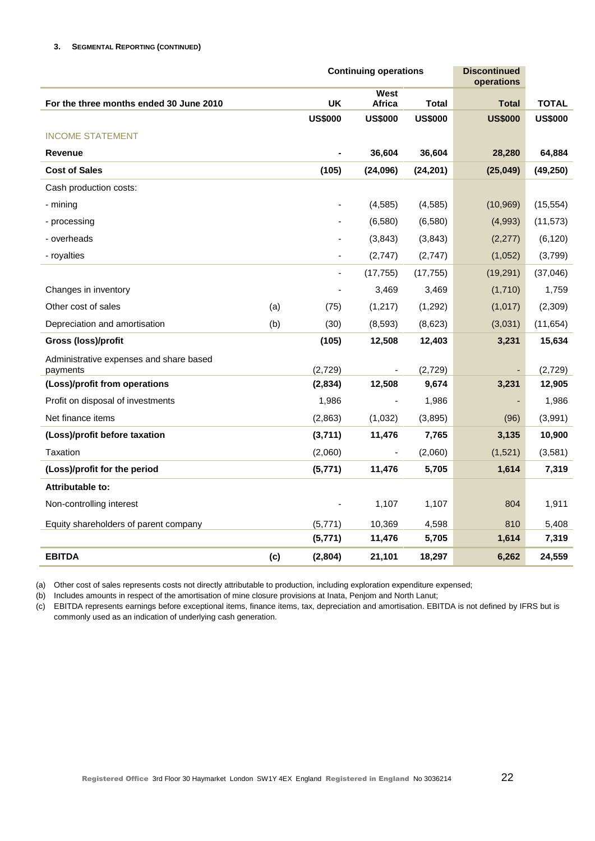|                                                     | <b>Continuing operations</b> |                          |                          |                | <b>Discontinued</b><br>operations |                |
|-----------------------------------------------------|------------------------------|--------------------------|--------------------------|----------------|-----------------------------------|----------------|
| For the three months ended 30 June 2010             |                              | <b>UK</b>                | West<br><b>Africa</b>    | <b>Total</b>   | <b>Total</b>                      | <b>TOTAL</b>   |
|                                                     |                              | <b>US\$000</b>           | <b>US\$000</b>           | <b>US\$000</b> | <b>US\$000</b>                    | <b>US\$000</b> |
| <b>INCOME STATEMENT</b>                             |                              |                          |                          |                |                                   |                |
| <b>Revenue</b>                                      |                              |                          | 36,604                   | 36,604         | 28,280                            | 64,884         |
| <b>Cost of Sales</b>                                |                              | (105)                    | (24,096)                 | (24, 201)      | (25, 049)                         | (49, 250)      |
| Cash production costs:                              |                              |                          |                          |                |                                   |                |
| - mining                                            |                              |                          | (4, 585)                 | (4, 585)       | (10, 969)                         | (15, 554)      |
| - processing                                        |                              |                          | (6,580)                  | (6, 580)       | (4,993)                           | (11, 573)      |
| - overheads                                         |                              |                          | (3,843)                  | (3,843)        | (2,277)                           | (6, 120)       |
| - royalties                                         |                              | $\overline{\phantom{a}}$ | (2,747)                  | (2,747)        | (1,052)                           | (3,799)        |
|                                                     |                              |                          | (17, 755)                | (17, 755)      | (19, 291)                         | (37,046)       |
| Changes in inventory                                |                              |                          | 3,469                    | 3,469          | (1,710)                           | 1,759          |
| Other cost of sales                                 | (a)                          | (75)                     | (1,217)                  | (1,292)        | (1,017)                           | (2,309)        |
| Depreciation and amortisation                       | (b)                          | (30)                     | (8,593)                  | (8,623)        | (3,031)                           | (11, 654)      |
| <b>Gross (loss)/profit</b>                          |                              | (105)                    | 12,508                   | 12,403         | 3,231                             | 15,634         |
| Administrative expenses and share based<br>payments |                              | (2,729)                  |                          | (2,729)        |                                   | (2,729)        |
| (Loss)/profit from operations                       |                              | (2,834)                  | 12,508                   | 9,674          | 3,231                             | 12,905         |
| Profit on disposal of investments                   |                              | 1,986                    | $\overline{\phantom{0}}$ | 1,986          |                                   | 1,986          |
| Net finance items                                   |                              | (2,863)                  | (1,032)                  | (3,895)        | (96)                              | (3,991)        |
| (Loss)/profit before taxation                       |                              | (3,711)                  | 11,476                   | 7,765          | 3,135                             | 10,900         |
| Taxation                                            |                              | (2,060)                  | ٠                        | (2,060)        | (1,521)                           | (3,581)        |
| (Loss)/profit for the period                        |                              | (5,771)                  | 11,476                   | 5,705          | 1,614                             | 7,319          |
| Attributable to:                                    |                              |                          |                          |                |                                   |                |
| Non-controlling interest                            |                              |                          | 1,107                    | 1,107          | 804                               | 1,911          |
| Equity shareholders of parent company               |                              | (5,771)                  | 10,369                   | 4,598          | 810                               | 5,408          |
|                                                     |                              | (5,771)                  | 11,476                   | 5,705          | 1,614                             | 7,319          |
| <b>EBITDA</b>                                       | (c)                          | (2,804)                  | 21,101                   | 18,297         | 6,262                             | 24,559         |

(a) Other cost of sales represents costs not directly attributable to production, including exploration expenditure expensed;

(b) Includes amounts in respect of the amortisation of mine closure provisions at Inata, Penjom and North Lanut;

(c) EBITDA represents earnings before exceptional items, finance items, tax, depreciation and amortisation. EBITDA is not defined by IFRS but is commonly used as an indication of underlying cash generation.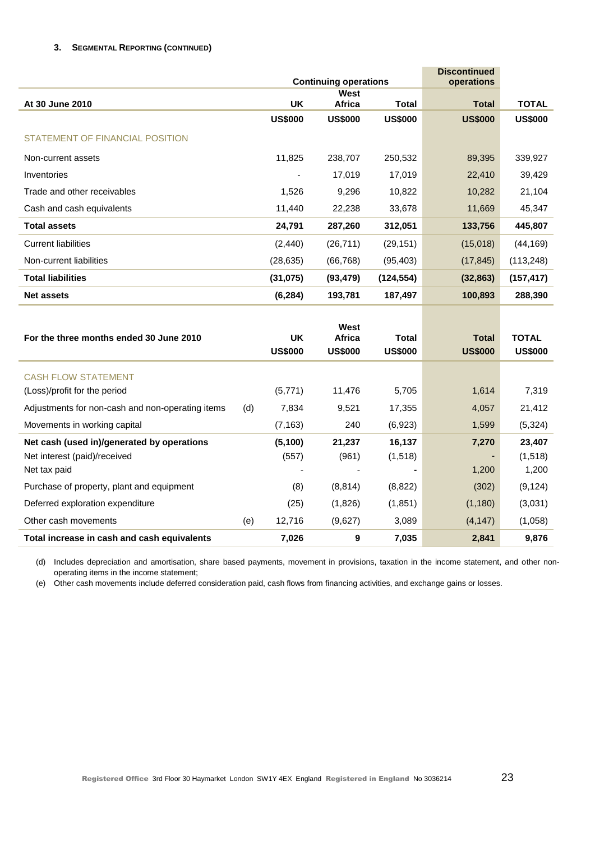### **3. SEGMENTAL REPORTING (CONTINUED)**

|                                                                            |     |                             | <b>Continuing operations</b>            |                                | <b>Discontinued</b><br>operations |                                |
|----------------------------------------------------------------------------|-----|-----------------------------|-----------------------------------------|--------------------------------|-----------------------------------|--------------------------------|
|                                                                            |     |                             | West                                    |                                |                                   |                                |
| At 30 June 2010                                                            |     | <b>UK</b>                   | Africa                                  | <b>Total</b>                   | <b>Total</b>                      | <b>TOTAL</b>                   |
|                                                                            |     | <b>US\$000</b>              | <b>US\$000</b>                          | <b>US\$000</b>                 | <b>US\$000</b>                    | <b>US\$000</b>                 |
| <b>STATEMENT OF FINANCIAL POSITION</b>                                     |     |                             |                                         |                                |                                   |                                |
| Non-current assets                                                         |     | 11,825                      | 238,707                                 | 250,532                        | 89,395                            | 339,927                        |
| Inventories                                                                |     | $\blacksquare$              | 17,019                                  | 17,019                         | 22,410                            | 39,429                         |
| Trade and other receivables                                                |     | 1,526                       | 9,296                                   | 10,822                         | 10,282                            | 21,104                         |
| Cash and cash equivalents                                                  |     | 11,440                      | 22,238                                  | 33,678                         | 11,669                            | 45,347                         |
| <b>Total assets</b>                                                        |     | 24,791                      | 287,260                                 | 312,051                        | 133,756                           | 445,807                        |
| <b>Current liabilities</b>                                                 |     | (2, 440)                    | (26, 711)                               | (29, 151)                      | (15,018)                          | (44, 169)                      |
| Non-current liabilities                                                    |     | (28, 635)                   | (66, 768)                               | (95, 403)                      | (17, 845)                         | (113,248)                      |
| <b>Total liabilities</b>                                                   |     | (31, 075)                   | (93, 479)                               | (124, 554)                     | (32, 863)                         | (157, 417)                     |
| <b>Net assets</b>                                                          |     | (6, 284)                    | 193,781                                 | 187,497                        | 100,893                           | 288,390                        |
| For the three months ended 30 June 2010                                    |     | <b>UK</b><br><b>US\$000</b> | West<br><b>Africa</b><br><b>US\$000</b> | <b>Total</b><br><b>US\$000</b> | <b>Total</b><br><b>US\$000</b>    | <b>TOTAL</b><br><b>US\$000</b> |
|                                                                            |     |                             |                                         |                                |                                   |                                |
| <b>CASH FLOW STATEMENT</b><br>(Loss)/profit for the period                 |     | (5,771)                     | 11,476                                  | 5,705                          | 1,614                             | 7,319                          |
| Adjustments for non-cash and non-operating items                           | (d) | 7,834                       | 9,521                                   | 17,355                         | 4,057                             | 21,412                         |
| Movements in working capital                                               |     | (7, 163)                    | 240                                     | (6,923)                        | 1,599                             | (5, 324)                       |
| Net cash (used in)/generated by operations<br>Net interest (paid)/received |     | (5, 100)<br>(557)           | 21,237<br>(961)                         | 16,137<br>(1,518)              | 7,270                             | 23,407<br>(1,518)              |
| Net tax paid                                                               |     |                             |                                         |                                | 1,200                             | 1,200                          |
| Purchase of property, plant and equipment                                  |     | (8)                         | (8, 814)                                | (8,822)                        | (302)                             | (9, 124)                       |
| Deferred exploration expenditure                                           |     | (25)                        | (1,826)                                 | (1, 851)                       | (1, 180)                          | (3,031)                        |
| Other cash movements                                                       | (e) | 12,716                      | (9,627)                                 | 3,089                          | (4, 147)                          | (1,058)                        |
| Total increase in cash and cash equivalents                                |     | 7,026                       | 9                                       | 7,035                          | 2,841                             | 9,876                          |

(d) Includes depreciation and amortisation, share based payments, movement in provisions, taxation in the income statement, and other nonoperating items in the income statement;

(e) Other cash movements include deferred consideration paid, cash flows from financing activities, and exchange gains or losses.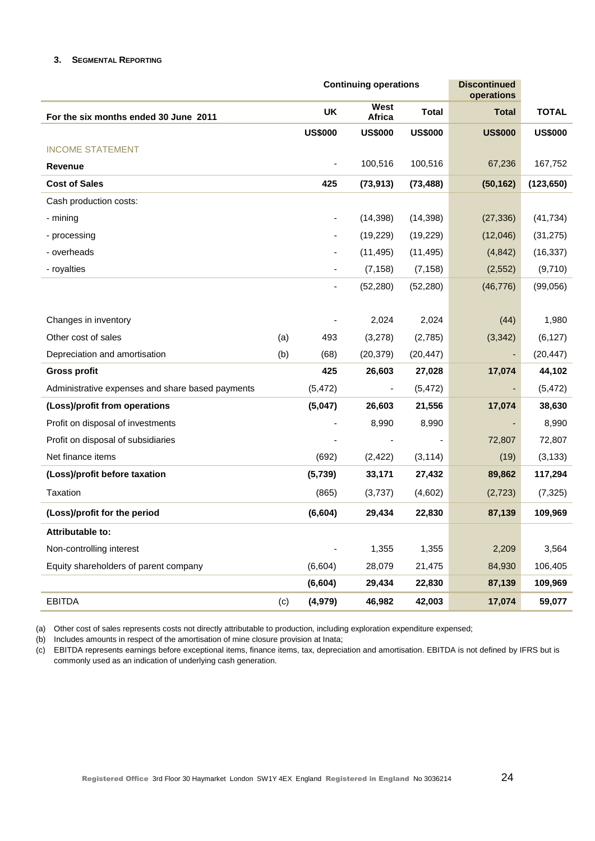### **3. SEGMENTAL REPORTING**

|                                                  |     |                          | <b>Continuing operations</b> | <b>Discontinued</b><br>operations |                          |                |
|--------------------------------------------------|-----|--------------------------|------------------------------|-----------------------------------|--------------------------|----------------|
| For the six months ended 30 June 2011            |     | UK                       | West<br>Africa               | <b>Total</b>                      | <b>Total</b>             | <b>TOTAL</b>   |
|                                                  |     | <b>US\$000</b>           | <b>US\$000</b>               | <b>US\$000</b>                    | <b>US\$000</b>           | <b>US\$000</b> |
| <b>INCOME STATEMENT</b>                          |     |                          |                              |                                   |                          |                |
| <b>Revenue</b>                                   |     | $\overline{\phantom{a}}$ | 100,516                      | 100,516                           | 67,236                   | 167,752        |
| <b>Cost of Sales</b>                             |     | 425                      | (73, 913)                    | (73, 488)                         | (50, 162)                | (123, 650)     |
| Cash production costs:                           |     |                          |                              |                                   |                          |                |
| - mining                                         |     | $\overline{\phantom{a}}$ | (14, 398)                    | (14, 398)                         | (27, 336)                | (41, 734)      |
| - processing                                     |     | $\overline{\phantom{a}}$ | (19, 229)                    | (19, 229)                         | (12,046)                 | (31, 275)      |
| - overheads                                      |     |                          | (11, 495)                    | (11, 495)                         | (4, 842)                 | (16, 337)      |
| - royalties                                      |     |                          | (7, 158)                     | (7, 158)                          | (2,552)                  | (9,710)        |
|                                                  |     |                          | (52, 280)                    | (52, 280)                         | (46, 776)                | (99,056)       |
| Changes in inventory                             |     |                          | 2,024                        | 2,024                             | (44)                     | 1,980          |
| Other cost of sales                              | (a) | 493                      | (3,278)                      | (2,785)                           | (3,342)                  | (6, 127)       |
| Depreciation and amortisation                    | (b) | (68)                     | (20, 379)                    | (20, 447)                         | $\overline{\phantom{a}}$ | (20, 447)      |
| <b>Gross profit</b>                              |     | 425                      | 26,603                       | 27,028                            | 17,074                   | 44,102         |
| Administrative expenses and share based payments |     | (5, 472)                 | $\overline{\phantom{a}}$     | (5, 472)                          |                          | (5, 472)       |
| (Loss)/profit from operations                    |     | (5,047)                  | 26,603                       | 21,556                            | 17,074                   | 38,630         |
| Profit on disposal of investments                |     |                          | 8,990                        | 8,990                             |                          | 8,990          |
| Profit on disposal of subsidiaries               |     |                          |                              |                                   | 72,807                   | 72,807         |
| Net finance items                                |     | (692)                    | (2, 422)                     | (3, 114)                          | (19)                     | (3, 133)       |
| (Loss)/profit before taxation                    |     | (5,739)                  | 33,171                       | 27,432                            | 89,862                   | 117,294        |
| Taxation                                         |     | (865)                    | (3,737)                      | (4,602)                           | (2,723)                  | (7, 325)       |
| (Loss)/profit for the period                     |     | (6, 604)                 | 29,434                       | 22,830                            | 87,139                   | 109,969        |
| Attributable to:                                 |     |                          |                              |                                   |                          |                |
| Non-controlling interest                         |     |                          | 1,355                        | 1,355                             | 2,209                    | 3,564          |
| Equity shareholders of parent company            |     | (6,604)                  | 28,079                       | 21,475                            | 84,930                   | 106,405        |
|                                                  |     | (6, 604)                 | 29,434                       | 22,830                            | 87,139                   | 109,969        |
| <b>EBITDA</b>                                    | (c) | (4, 979)                 | 46,982                       | 42,003                            | 17,074                   | 59,077         |

(a) Other cost of sales represents costs not directly attributable to production, including exploration expenditure expensed;

(b) Includes amounts in respect of the amortisation of mine closure provision at Inata;

(c) EBITDA represents earnings before exceptional items, finance items, tax, depreciation and amortisation. EBITDA is not defined by IFRS but is commonly used as an indication of underlying cash generation.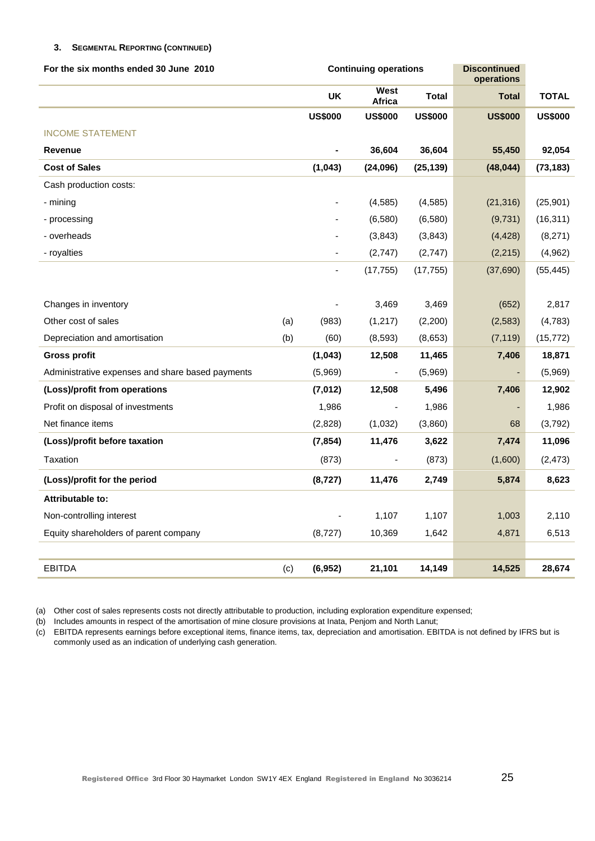### **3. SEGMENTAL REPORTING (CONTINUED)**

| For the six months ended 30 June 2010            |     |                | <b>Continuing operations</b> |                | <b>Discontinued</b><br>operations |                |  |  |
|--------------------------------------------------|-----|----------------|------------------------------|----------------|-----------------------------------|----------------|--|--|
|                                                  |     | UK             | West<br>Africa               | <b>Total</b>   | <b>Total</b>                      | <b>TOTAL</b>   |  |  |
|                                                  |     | <b>US\$000</b> | <b>US\$000</b>               | <b>US\$000</b> | <b>US\$000</b>                    | <b>US\$000</b> |  |  |
| <b>INCOME STATEMENT</b>                          |     |                |                              |                |                                   |                |  |  |
| <b>Revenue</b>                                   |     |                | 36,604                       | 36,604         | 55,450                            | 92,054         |  |  |
| <b>Cost of Sales</b>                             |     | (1, 043)       | (24,096)                     | (25, 139)      | (48, 044)                         | (73, 183)      |  |  |
| Cash production costs:                           |     |                |                              |                |                                   |                |  |  |
| - mining                                         |     |                | (4, 585)                     | (4, 585)       | (21, 316)                         | (25, 901)      |  |  |
| - processing                                     |     |                | (6,580)                      | (6,580)        | (9,731)                           | (16, 311)      |  |  |
| - overheads                                      |     |                | (3,843)                      | (3, 843)       | (4, 428)                          | (8,271)        |  |  |
| - royalties                                      |     |                | (2,747)                      | (2,747)        | (2, 215)                          | (4,962)        |  |  |
|                                                  |     |                | (17, 755)                    | (17, 755)      | (37,690)                          | (55, 445)      |  |  |
|                                                  |     |                |                              |                |                                   |                |  |  |
| Changes in inventory                             |     |                | 3,469                        | 3,469          | (652)                             | 2,817          |  |  |
| Other cost of sales                              | (a) | (983)          | (1, 217)                     | (2,200)        | (2, 583)                          | (4,783)        |  |  |
| Depreciation and amortisation                    | (b) | (60)           | (8, 593)                     | (8,653)        | (7, 119)                          | (15, 772)      |  |  |
| <b>Gross profit</b>                              |     | (1, 043)       | 12,508                       | 11,465         | 7,406                             | 18,871         |  |  |
| Administrative expenses and share based payments |     | (5,969)        |                              | (5,969)        |                                   | (5,969)        |  |  |
| (Loss)/profit from operations                    |     | (7,012)        | 12,508                       | 5,496          | 7,406                             | 12,902         |  |  |
| Profit on disposal of investments                |     | 1,986          |                              | 1,986          |                                   | 1,986          |  |  |
| Net finance items                                |     | (2,828)        | (1,032)                      | (3,860)        | 68                                | (3,792)        |  |  |
| (Loss)/profit before taxation                    |     | (7, 854)       | 11,476                       | 3,622          | 7,474                             | 11,096         |  |  |
| Taxation                                         |     | (873)          |                              | (873)          | (1,600)                           | (2, 473)       |  |  |
| (Loss)/profit for the period                     |     | (8,727)        | 11,476                       | 2,749          | 5,874                             | 8,623          |  |  |
| Attributable to:                                 |     |                |                              |                |                                   |                |  |  |
| Non-controlling interest                         |     |                | 1,107                        | 1,107          | 1,003                             | 2,110          |  |  |
| Equity shareholders of parent company            |     | (8,727)        | 10,369                       | 1,642          | 4,871                             | 6,513          |  |  |
|                                                  |     |                |                              |                |                                   |                |  |  |
| <b>EBITDA</b>                                    | (c) | (6,952)        | 21,101                       | 14,149         | 14,525                            | 28,674         |  |  |

(a) Other cost of sales represents costs not directly attributable to production, including exploration expenditure expensed;

(b) Includes amounts in respect of the amortisation of mine closure provisions at Inata, Penjom and North Lanut;

(c) EBITDA represents earnings before exceptional items, finance items, tax, depreciation and amortisation. EBITDA is not defined by IFRS but is commonly used as an indication of underlying cash generation.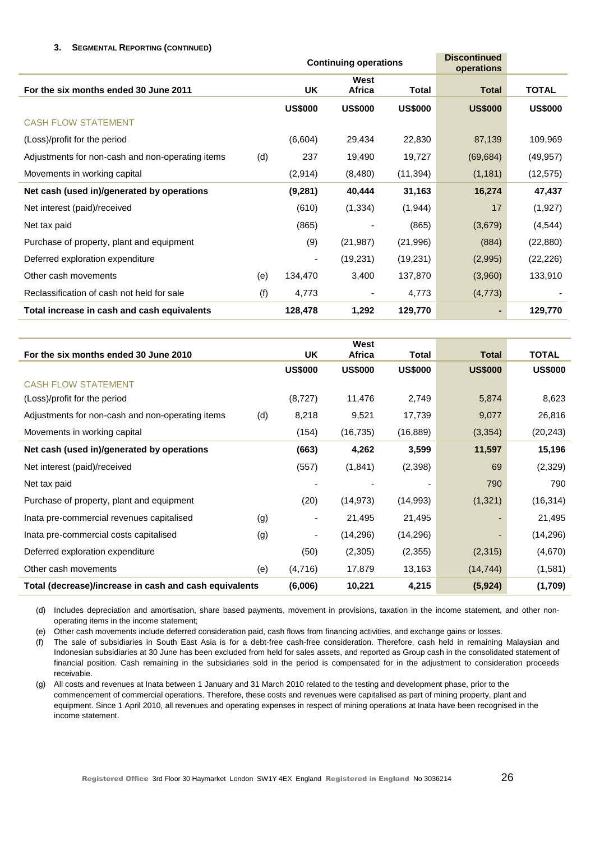### **3. SEGMENTAL REPORTING (CONTINUED)**

|                                                  |     | <b>Continuing operations</b> |                |                | <b>Discontinued</b><br>operations |                |
|--------------------------------------------------|-----|------------------------------|----------------|----------------|-----------------------------------|----------------|
| For the six months ended 30 June 2011            |     | <b>UK</b>                    | West<br>Africa | <b>Total</b>   | <b>Total</b>                      | <b>TOTAL</b>   |
|                                                  |     | <b>US\$000</b>               | <b>US\$000</b> | <b>US\$000</b> | <b>US\$000</b>                    | <b>US\$000</b> |
| <b>CASH FLOW STATEMENT</b>                       |     |                              |                |                |                                   |                |
| (Loss)/profit for the period                     |     | (6,604)                      | 29,434         | 22,830         | 87,139                            | 109,969        |
| Adjustments for non-cash and non-operating items | (d) | 237                          | 19,490         | 19,727         | (69, 684)                         | (49, 957)      |
| Movements in working capital                     |     | (2, 914)                     | (8,480)        | (11, 394)      | (1, 181)                          | (12, 575)      |
| Net cash (used in)/generated by operations       |     | (9,281)                      | 40,444         | 31,163         | 16,274                            | 47,437         |
| Net interest (paid)/received                     |     | (610)                        | (1, 334)       | (1, 944)       | 17                                | (1,927)        |
| Net tax paid                                     |     | (865)                        |                | (865)          | (3,679)                           | (4, 544)       |
| Purchase of property, plant and equipment        |     | (9)                          | (21, 987)      | (21, 996)      | (884)                             | (22, 880)      |
| Deferred exploration expenditure                 |     | ۰                            | (19, 231)      | (19, 231)      | (2,995)                           | (22, 226)      |
| Other cash movements                             | (e) | 134,470                      | 3,400          | 137,870        | (3,960)                           | 133,910        |
| Reclassification of cash not held for sale       | (f) | 4,773                        |                | 4,773          | (4, 773)                          |                |
| Total increase in cash and cash equivalents      |     | 128,478                      | 1,292          | 129,770        |                                   | 129,770        |

|                                                        |     |                          | West           |                          |                |                |
|--------------------------------------------------------|-----|--------------------------|----------------|--------------------------|----------------|----------------|
| For the six months ended 30 June 2010                  |     | <b>UK</b>                | Africa         | Total                    | <b>Total</b>   | <b>TOTAL</b>   |
|                                                        |     | <b>US\$000</b>           | <b>US\$000</b> | <b>US\$000</b>           | <b>US\$000</b> | <b>US\$000</b> |
| <b>CASH FLOW STATEMENT</b>                             |     |                          |                |                          |                |                |
| (Loss)/profit for the period                           |     | (8, 727)                 | 11,476         | 2,749                    | 5,874          | 8,623          |
| Adjustments for non-cash and non-operating items       | (d) | 8,218                    | 9,521          | 17,739                   | 9,077          | 26,816         |
| Movements in working capital                           |     | (154)                    | (16, 735)      | (16, 889)                | (3, 354)       | (20, 243)      |
| Net cash (used in)/generated by operations             |     | (663)                    | 4,262          | 3,599                    | 11,597         | 15,196         |
| Net interest (paid)/received                           |     | (557)                    | (1,841)        | (2,398)                  | 69             | (2, 329)       |
| Net tax paid                                           |     |                          |                | $\overline{\phantom{a}}$ | 790            | 790            |
| Purchase of property, plant and equipment              |     | (20)                     | (14, 973)      | (14,993)                 | (1,321)        | (16, 314)      |
| Inata pre-commercial revenues capitalised              | (g) | ۰                        | 21,495         | 21,495                   |                | 21,495         |
| Inata pre-commercial costs capitalised                 | (g) | $\overline{\phantom{a}}$ | (14, 296)      | (14, 296)                |                | (14, 296)      |
| Deferred exploration expenditure                       |     | (50)                     | (2,305)        | (2,355)                  | (2,315)        | (4,670)        |
| Other cash movements                                   | (e) | (4,716)                  | 17,879         | 13,163                   | (14, 744)      | (1,581)        |
| Total (decrease)/increase in cash and cash equivalents |     | (6,006)                  | 10,221         | 4,215                    | (5, 924)       | (1,709)        |

(d) Includes depreciation and amortisation, share based payments, movement in provisions, taxation in the income statement, and other nonoperating items in the income statement;

(e) Other cash movements include deferred consideration paid, cash flows from financing activities, and exchange gains or losses.

(f) The sale of subsidiaries in South East Asia is for a debt-free cash-free consideration. Therefore, cash held in remaining Malaysian and Indonesian subsidiaries at 30 June has been excluded from held for sales assets, and reported as Group cash in the consolidated statement of financial position. Cash remaining in the subsidiaries sold in the period is compensated for in the adjustment to consideration proceeds receivable.

(g) All costs and revenues at Inata between 1 January and 31 March 2010 related to the testing and development phase, prior to the commencement of commercial operations. Therefore, these costs and revenues were capitalised as part of mining property, plant and equipment. Since 1 April 2010, all revenues and operating expenses in respect of mining operations at Inata have been recognised in the income statement.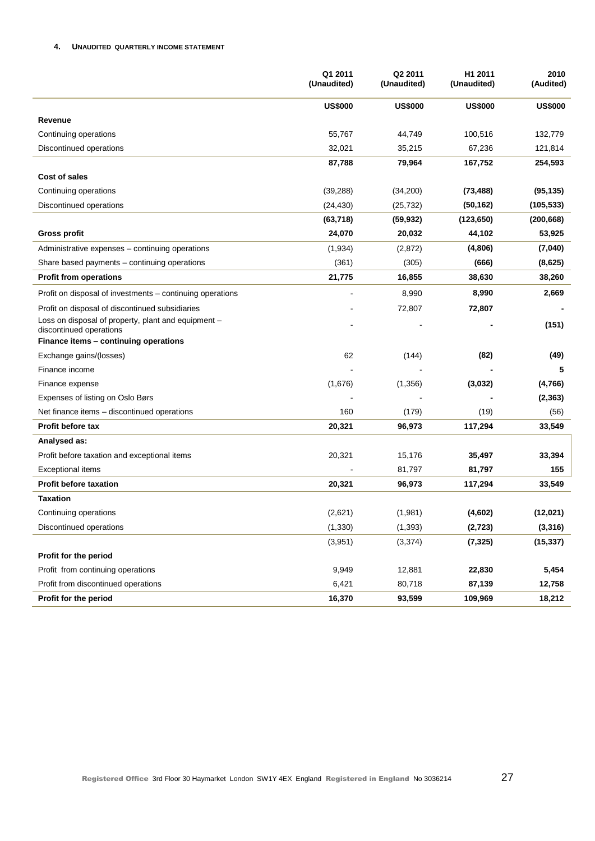### **4. UNAUDITED QUARTERLY INCOME STATEMENT**

|                                                                                | Q1 2011<br>(Unaudited) | Q2 2011<br>(Unaudited) | H <sub>1</sub> 2011<br>(Unaudited) | 2010<br>(Audited) |
|--------------------------------------------------------------------------------|------------------------|------------------------|------------------------------------|-------------------|
|                                                                                | <b>US\$000</b>         | <b>US\$000</b>         | <b>US\$000</b>                     | <b>US\$000</b>    |
| Revenue                                                                        |                        |                        |                                    |                   |
| Continuing operations                                                          | 55,767                 | 44,749                 | 100,516                            | 132,779           |
| Discontinued operations                                                        | 32,021                 | 35,215                 | 67,236                             | 121,814           |
|                                                                                | 87,788                 | 79,964                 | 167,752                            | 254,593           |
| Cost of sales                                                                  |                        |                        |                                    |                   |
| Continuing operations                                                          | (39, 288)              | (34,200)               | (73, 488)                          | (95, 135)         |
| Discontinued operations                                                        | (24, 430)              | (25, 732)              | (50, 162)                          | (105, 533)        |
|                                                                                | (63, 718)              | (59, 932)              | (123, 650)                         | (200, 668)        |
| <b>Gross profit</b>                                                            | 24,070                 | 20,032                 | 44,102                             | 53,925            |
| Administrative expenses – continuing operations                                | (1,934)                | (2,872)                | (4,806)                            | (7,040)           |
| Share based payments - continuing operations                                   | (361)                  | (305)                  | (666)                              | (8,625)           |
| <b>Profit from operations</b>                                                  | 21,775                 | 16,855                 | 38,630                             | 38,260            |
| Profit on disposal of investments – continuing operations                      |                        | 8,990                  | 8,990                              | 2,669             |
| Profit on disposal of discontinued subsidiaries                                |                        | 72,807                 | 72,807                             |                   |
| Loss on disposal of property, plant and equipment -<br>discontinued operations |                        |                        |                                    | (151)             |
| Finance items - continuing operations                                          |                        |                        |                                    |                   |
| Exchange gains/(losses)                                                        | 62                     | (144)                  | (82)                               | (49)              |
| Finance income                                                                 |                        |                        |                                    | 5                 |
| Finance expense                                                                | (1,676)                | (1,356)                | (3,032)                            | (4,766)           |
| Expenses of listing on Oslo Børs                                               |                        |                        |                                    | (2, 363)          |
| Net finance items - discontinued operations                                    | 160                    | (179)                  | (19)                               | (56)              |
| Profit before tax                                                              | 20,321                 | 96,973                 | 117,294                            | 33,549            |
| Analysed as:                                                                   |                        |                        |                                    |                   |
| Profit before taxation and exceptional items                                   | 20,321                 | 15,176                 | 35,497                             | 33,394            |
| <b>Exceptional items</b>                                                       |                        | 81,797                 | 81,797                             | 155               |
| <b>Profit before taxation</b>                                                  | 20,321                 | 96,973                 | 117,294                            | 33,549            |
| <b>Taxation</b>                                                                |                        |                        |                                    |                   |
| Continuing operations                                                          | (2,621)                | (1,981)                | (4,602)                            | (12, 021)         |
| Discontinued operations                                                        | (1, 330)               | (1, 393)               | (2, 723)                           | (3, 316)          |
|                                                                                | (3,951)                | (3, 374)               | (7, 325)                           | (15, 337)         |
| Profit for the period                                                          |                        |                        |                                    |                   |
| Profit from continuing operations                                              | 9,949                  | 12,881                 | 22,830                             | 5,454             |
| Profit from discontinued operations                                            | 6,421                  | 80,718                 | 87,139                             | 12,758            |
| Profit for the period                                                          | 16,370                 | 93,599                 | 109,969                            | 18,212            |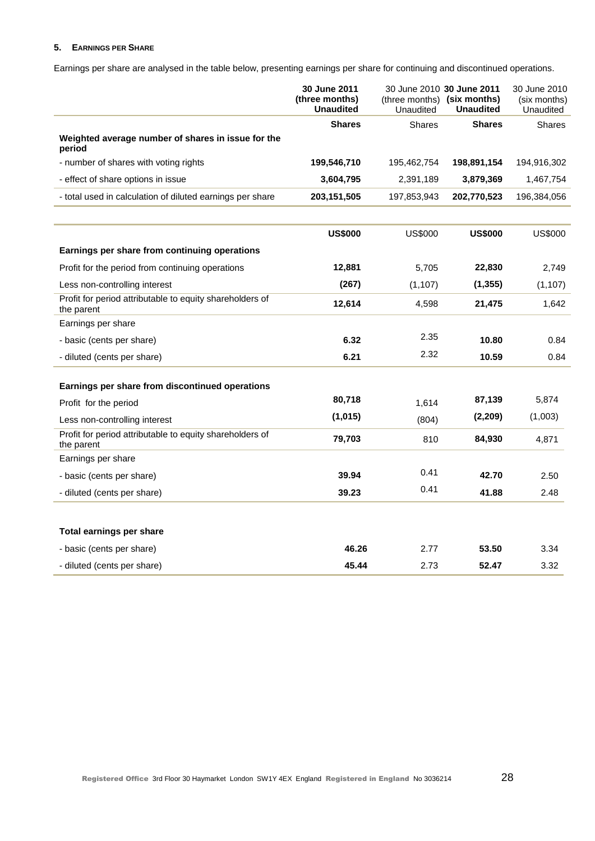### **5. EARNINGS PER SHARE**

Earnings per share are analysed in the table below, presenting earnings per share for continuing and discontinued operations.

|                                                                        | 30 June 2011<br>(three months)<br><b>Unaudited</b> | (three months) (six months)<br>Unaudited | 30 June 2010 30 June 2011<br><b>Unaudited</b> | 30 June 2010<br>(six months)<br>Unaudited |
|------------------------------------------------------------------------|----------------------------------------------------|------------------------------------------|-----------------------------------------------|-------------------------------------------|
|                                                                        | <b>Shares</b>                                      | <b>Shares</b>                            | <b>Shares</b>                                 | <b>Shares</b>                             |
| Weighted average number of shares in issue for the<br>period           |                                                    |                                          |                                               |                                           |
| - number of shares with voting rights                                  | 199,546,710                                        | 195,462,754                              | 198,891,154                                   | 194,916,302                               |
| - effect of share options in issue                                     | 3,604,795                                          | 2,391,189                                | 3,879,369                                     | 1,467,754                                 |
| - total used in calculation of diluted earnings per share              | 203, 151, 505                                      | 197,853,943                              | 202,770,523                                   | 196,384,056                               |
|                                                                        | <b>US\$000</b>                                     | <b>US\$000</b>                           | <b>US\$000</b>                                | <b>US\$000</b>                            |
| Earnings per share from continuing operations                          |                                                    |                                          |                                               |                                           |
| Profit for the period from continuing operations                       | 12,881                                             | 5,705                                    | 22,830                                        | 2,749                                     |
| Less non-controlling interest                                          | (267)                                              | (1, 107)                                 | (1, 355)                                      | (1, 107)                                  |
| Profit for period attributable to equity shareholders of<br>the parent | 12,614                                             | 4,598                                    | 21,475                                        | 1,642                                     |
| Earnings per share                                                     |                                                    |                                          |                                               |                                           |
| - basic (cents per share)                                              | 6.32                                               | 2.35                                     | 10.80                                         | 0.84                                      |
| - diluted (cents per share)                                            | 6.21                                               | 2.32                                     | 10.59                                         | 0.84                                      |
| Earnings per share from discontinued operations                        |                                                    |                                          |                                               |                                           |
| Profit for the period                                                  | 80,718                                             | 1,614                                    | 87,139                                        | 5,874                                     |
| Less non-controlling interest                                          | (1,015)                                            | (804)                                    | (2, 209)                                      | (1,003)                                   |
| Profit for period attributable to equity shareholders of<br>the parent | 79,703                                             | 810                                      | 84,930                                        | 4,871                                     |
| Earnings per share                                                     |                                                    |                                          |                                               |                                           |
| - basic (cents per share)                                              | 39.94                                              | 0.41                                     | 42.70                                         | 2.50                                      |
| - diluted (cents per share)                                            | 39.23                                              | 0.41                                     | 41.88                                         | 2.48                                      |
| Total earnings per share                                               |                                                    |                                          |                                               |                                           |
| - basic (cents per share)                                              | 46.26                                              | 2.77                                     | 53.50                                         | 3.34                                      |
| - diluted (cents per share)                                            | 45.44                                              | 2.73                                     | 52.47                                         | 3.32                                      |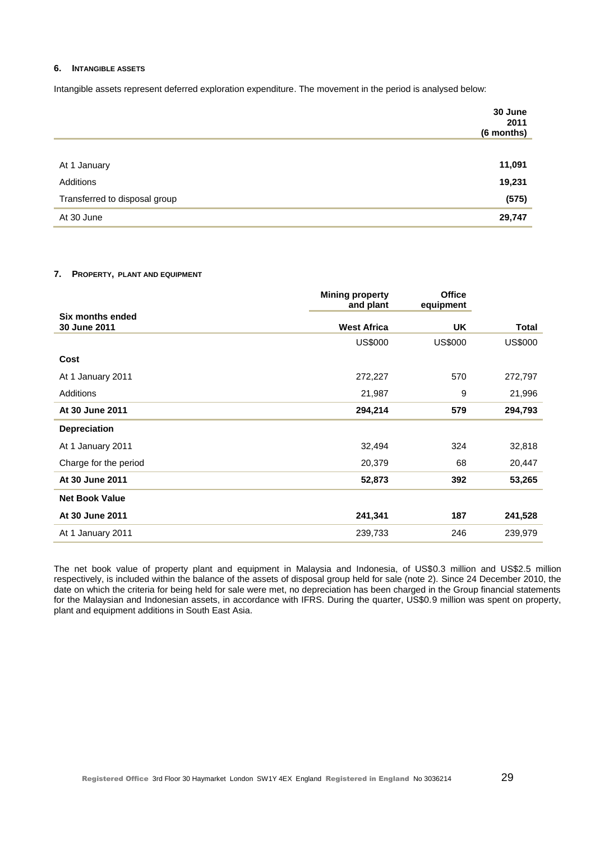#### **6. INTANGIBLE ASSETS**

Intangible assets represent deferred exploration expenditure. The movement in the period is analysed below:

|                               | 30 June<br>2011<br>(6 months) |
|-------------------------------|-------------------------------|
|                               |                               |
| At 1 January                  | 11,091                        |
| Additions                     | 19,231                        |
| Transferred to disposal group | (575)                         |
| At 30 June                    | 29,747                        |

### **7. PROPERTY, PLANT AND EQUIPMENT**

|                                  | <b>Mining property</b><br>and plant | <b>Office</b><br>equipment |                |
|----------------------------------|-------------------------------------|----------------------------|----------------|
| Six months ended<br>30 June 2011 | <b>West Africa</b>                  | UK.                        | <b>Total</b>   |
|                                  |                                     |                            |                |
|                                  | <b>US\$000</b>                      | <b>US\$000</b>             | <b>US\$000</b> |
| Cost                             |                                     |                            |                |
| At 1 January 2011                | 272,227                             | 570                        | 272,797        |
| Additions                        | 21,987                              | 9                          | 21,996         |
| At 30 June 2011                  | 294,214                             | 579                        | 294,793        |
| <b>Depreciation</b>              |                                     |                            |                |
| At 1 January 2011                | 32,494                              | 324                        | 32,818         |
| Charge for the period            | 20,379                              | 68                         | 20,447         |
| At 30 June 2011                  | 52,873                              | 392                        | 53,265         |
| <b>Net Book Value</b>            |                                     |                            |                |
| At 30 June 2011                  | 241,341                             | 187                        | 241,528        |
| At 1 January 2011                | 239,733                             | 246                        | 239,979        |

The net book value of property plant and equipment in Malaysia and Indonesia, of US\$0.3 million and US\$2.5 million respectively, is included within the balance of the assets of disposal group held for sale (note 2). Since 24 December 2010, the date on which the criteria for being held for sale were met, no depreciation has been charged in the Group financial statements for the Malaysian and Indonesian assets, in accordance with IFRS. During the quarter, US\$0.9 million was spent on property, plant and equipment additions in South East Asia.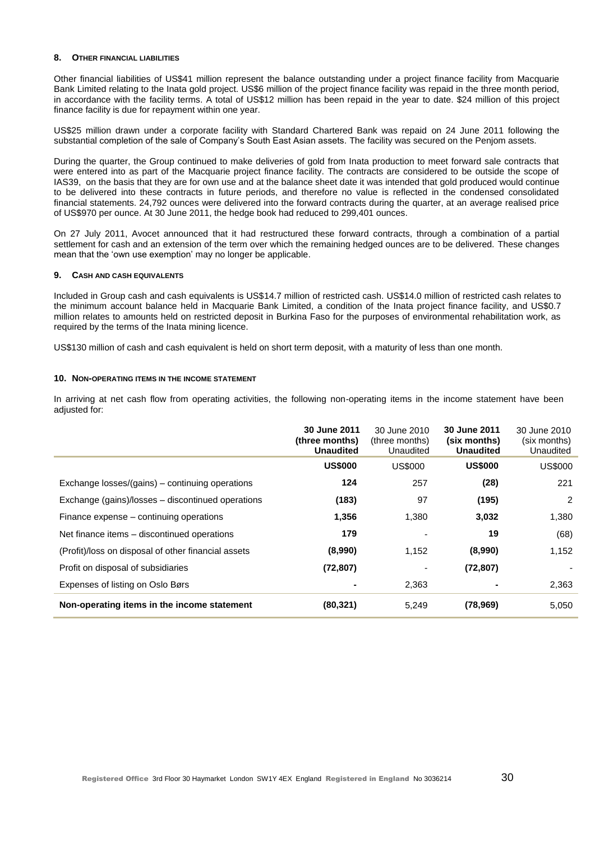#### **8. OTHER FINANCIAL LIABILITIES**

Other financial liabilities of US\$41 million represent the balance outstanding under a project finance facility from Macquarie Bank Limited relating to the Inata gold project. US\$6 million of the project finance facility was repaid in the three month period, in accordance with the facility terms. A total of US\$12 million has been repaid in the year to date. \$24 million of this project finance facility is due for repayment within one year.

US\$25 million drawn under a corporate facility with Standard Chartered Bank was repaid on 24 June 2011 following the substantial completion of the sale of Company"s South East Asian assets. The facility was secured on the Penjom assets.

During the quarter, the Group continued to make deliveries of gold from Inata production to meet forward sale contracts that were entered into as part of the Macquarie project finance facility. The contracts are considered to be outside the scope of IAS39, on the basis that they are for own use and at the balance sheet date it was intended that gold produced would continue to be delivered into these contracts in future periods, and therefore no value is reflected in the condensed consolidated financial statements. 24,792 ounces were delivered into the forward contracts during the quarter, at an average realised price of US\$970 per ounce. At 30 June 2011, the hedge book had reduced to 299,401 ounces.

On 27 July 2011, Avocet announced that it had restructured these forward contracts, through a combination of a partial settlement for cash and an extension of the term over which the remaining hedged ounces are to be delivered. These changes mean that the "own use exemption" may no longer be applicable.

#### **9. CASH AND CASH EQUIVALENTS**

Included in Group cash and cash equivalents is US\$14.7 million of restricted cash. US\$14.0 million of restricted cash relates to the minimum account balance held in Macquarie Bank Limited, a condition of the Inata project finance facility, and US\$0.7 million relates to amounts held on restricted deposit in Burkina Faso for the purposes of environmental rehabilitation work, as required by the terms of the Inata mining licence.

US\$130 million of cash and cash equivalent is held on short term deposit, with a maturity of less than one month.

#### **10. NON-OPERATING ITEMS IN THE INCOME STATEMENT**

In arriving at net cash flow from operating activities, the following non-operating items in the income statement have been adjusted for:

|                                                     | <b>30 June 2011</b><br>(three months)<br><b>Unaudited</b> | 30 June 2010<br>(three months)<br>Unaudited | <b>30 June 2011</b><br>(six months)<br><b>Unaudited</b> | 30 June 2010<br>(six months)<br>Unaudited |
|-----------------------------------------------------|-----------------------------------------------------------|---------------------------------------------|---------------------------------------------------------|-------------------------------------------|
|                                                     | <b>US\$000</b>                                            | <b>US\$000</b>                              | <b>US\$000</b>                                          | US\$000                                   |
| Exchange losses/(gains) – continuing operations     | 124                                                       | 257                                         | (28)                                                    | 221                                       |
| Exchange (gains)/losses - discontinued operations   | (183)                                                     | 97                                          | (195)                                                   | 2                                         |
| Finance expense – continuing operations             | 1,356                                                     | 1,380                                       | 3,032                                                   | 1,380                                     |
| Net finance items – discontinued operations         | 179                                                       |                                             | 19                                                      | (68)                                      |
| (Profit)/loss on disposal of other financial assets | (8,990)                                                   | 1,152                                       | (8,990)                                                 | 1,152                                     |
| Profit on disposal of subsidiaries                  | (72, 807)                                                 |                                             | (72, 807)                                               |                                           |
| Expenses of listing on Oslo Børs                    |                                                           | 2,363                                       |                                                         | 2,363                                     |
| Non-operating items in the income statement         | (80, 321)                                                 | 5,249                                       | (78, 969)                                               | 5,050                                     |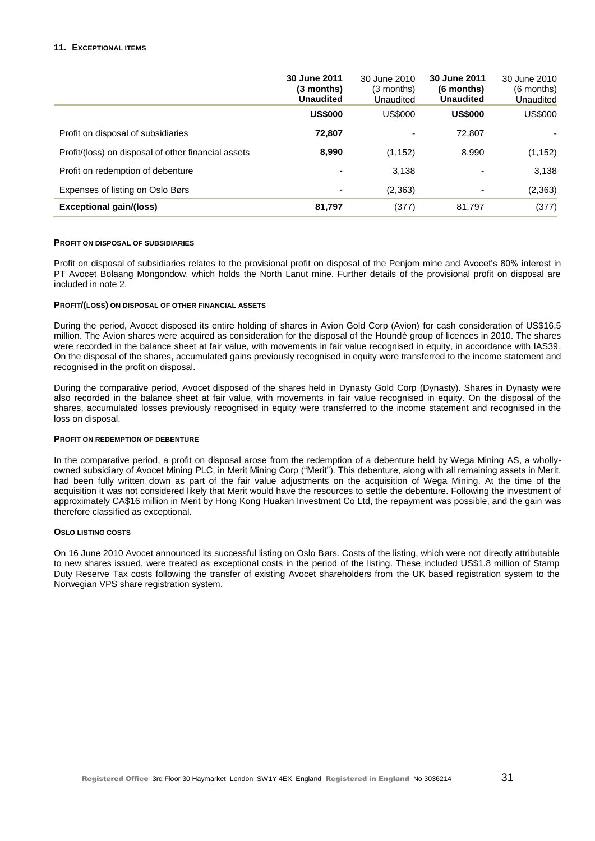### **11. EXCEPTIONAL ITEMS**

|                                                     | 30 June 2011<br>(3 months)<br><b>Unaudited</b> | 30 June 2010<br>$(3$ months)<br>Unaudited | 30 June 2011<br>$(6$ months)<br><b>Unaudited</b> | 30 June 2010<br>$(6$ months)<br>Unaudited |
|-----------------------------------------------------|------------------------------------------------|-------------------------------------------|--------------------------------------------------|-------------------------------------------|
|                                                     | <b>US\$000</b>                                 | US\$000                                   | <b>US\$000</b>                                   | US\$000                                   |
| Profit on disposal of subsidiaries                  | 72,807                                         |                                           | 72,807                                           |                                           |
| Profit/(loss) on disposal of other financial assets | 8,990                                          | (1, 152)                                  | 8,990                                            | (1, 152)                                  |
| Profit on redemption of debenture                   | $\blacksquare$                                 | 3,138                                     | -                                                | 3,138                                     |
| Expenses of listing on Oslo Børs                    | $\blacksquare$                                 | (2,363)                                   | $\blacksquare$                                   | (2, 363)                                  |
| <b>Exceptional gain/(loss)</b>                      | 81,797                                         | (377)                                     | 81,797                                           | (377)                                     |

#### **PROFIT ON DISPOSAL OF SUBSIDIARIES**

Profit on disposal of subsidiaries relates to the provisional profit on disposal of the Penjom mine and Avocet's 80% interest in PT Avocet Bolaang Mongondow, which holds the North Lanut mine. Further details of the provisional profit on disposal are included in note 2.

#### **PROFIT/(LOSS) ON DISPOSAL OF OTHER FINANCIAL ASSETS**

During the period, Avocet disposed its entire holding of shares in Avion Gold Corp (Avion) for cash consideration of US\$16.5 million. The Avion shares were acquired as consideration for the disposal of the Houndé group of licences in 2010. The shares were recorded in the balance sheet at fair value, with movements in fair value recognised in equity, in accordance with IAS39. On the disposal of the shares, accumulated gains previously recognised in equity were transferred to the income statement and recognised in the profit on disposal.

During the comparative period, Avocet disposed of the shares held in Dynasty Gold Corp (Dynasty). Shares in Dynasty were also recorded in the balance sheet at fair value, with movements in fair value recognised in equity. On the disposal of the shares, accumulated losses previously recognised in equity were transferred to the income statement and recognised in the loss on disposal.

#### **PROFIT ON REDEMPTION OF DEBENTURE**

In the comparative period, a profit on disposal arose from the redemption of a debenture held by Wega Mining AS, a whollyowned subsidiary of Avocet Mining PLC, in Merit Mining Corp ("Merit"). This debenture, along with all remaining assets in Merit, had been fully written down as part of the fair value adjustments on the acquisition of Wega Mining. At the time of the acquisition it was not considered likely that Merit would have the resources to settle the debenture. Following the investment of approximately CA\$16 million in Merit by Hong Kong Huakan Investment Co Ltd, the repayment was possible, and the gain was therefore classified as exceptional.

#### **OSLO LISTING COSTS**

On 16 June 2010 Avocet announced its successful listing on Oslo Børs. Costs of the listing, which were not directly attributable to new shares issued, were treated as exceptional costs in the period of the listing. These included US\$1.8 million of Stamp Duty Reserve Tax costs following the transfer of existing Avocet shareholders from the UK based registration system to the Norwegian VPS share registration system.